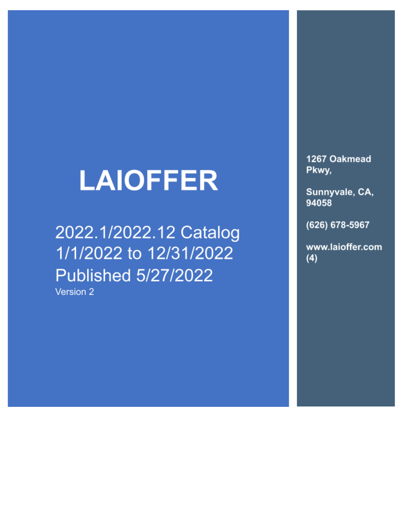# **LAIOFFER**

2022.1/2022.12 Catalog 1/1/2022 to 12/31/2022 **Published 5/27/2022** 

Version 2

1267 Oakmead Pkwy,

Sunnyvale, CA, 94058

(626) 678-5967

www.laioffer.com  $(4)$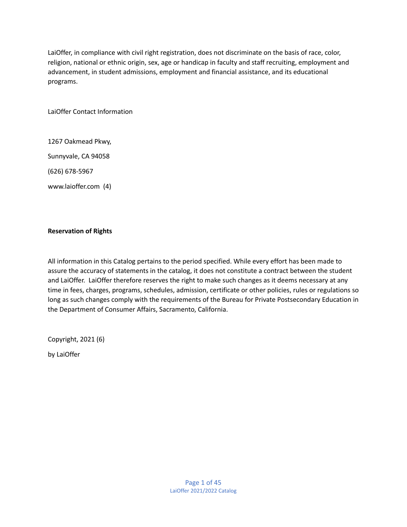LaiOffer, in compliance with civil right registration, does not discriminate on the basis of race, color, religion, national or ethnic origin, sex, age or handicap in faculty and staff recruiting, employment and advancement, in student admissions, employment and financial assistance, and its educational programs.

LaiOffer Contact Information

1267 Oakmead Pkwy,

Sunnyvale, CA 94058

(626) 678-5967

www.laioffer.com (4)

## **Reservation of Rights**

All information in this Catalog pertains to the period specified. While every effort has been made to assure the accuracy of statements in the catalog, it does not constitute a contract between the student and LaiOffer. LaiOffer therefore reserves the right to make such changes as it deems necessary at any time in fees, charges, programs, schedules, admission, certificate or other policies, rules or regulations so long as such changes comply with the requirements of the Bureau for Private Postsecondary Education in the Department of Consumer Affairs, Sacramento, California.

Copyright, 2021 (6)

by LaiOffer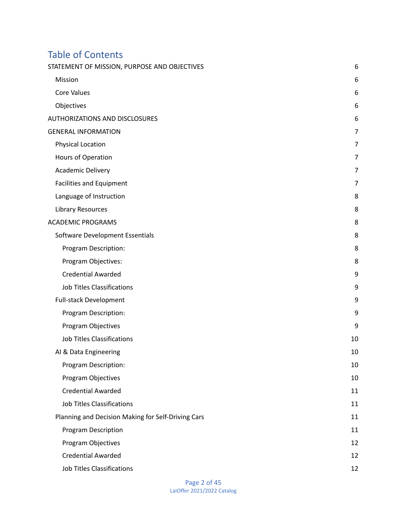# Table of Contents

| STATEMENT OF MISSION, PURPOSE AND OBJECTIVES       | 6              |
|----------------------------------------------------|----------------|
| Mission                                            | 6              |
| <b>Core Values</b>                                 | 6              |
| Objectives                                         | 6              |
| <b>AUTHORIZATIONS AND DISCLOSURES</b>              | 6              |
| <b>GENERAL INFORMATION</b>                         | $\overline{7}$ |
| Physical Location                                  | 7              |
| Hours of Operation                                 | 7              |
| Academic Delivery                                  | 7              |
| <b>Facilities and Equipment</b>                    | $\overline{7}$ |
| Language of Instruction                            | 8              |
| <b>Library Resources</b>                           | 8              |
| <b>ACADEMIC PROGRAMS</b>                           | 8              |
| Software Development Essentials                    | 8              |
| Program Description:                               | 8              |
| Program Objectives:                                | 8              |
| <b>Credential Awarded</b>                          | 9              |
| <b>Job Titles Classifications</b>                  | 9              |
| <b>Full-stack Development</b>                      | 9              |
| Program Description:                               | 9              |
| Program Objectives                                 | 9              |
| <b>Job Titles Classifications</b>                  | 10             |
| AI & Data Engineering                              | 10             |
| Program Description:                               | 10             |
| Program Objectives                                 | 10             |
| <b>Credential Awarded</b>                          | 11             |
| <b>Job Titles Classifications</b>                  | 11             |
| Planning and Decision Making for Self-Driving Cars | 11             |
| <b>Program Description</b>                         | 11             |
| Program Objectives                                 | 12             |
| <b>Credential Awarded</b>                          | 12             |
| <b>Job Titles Classifications</b>                  | 12             |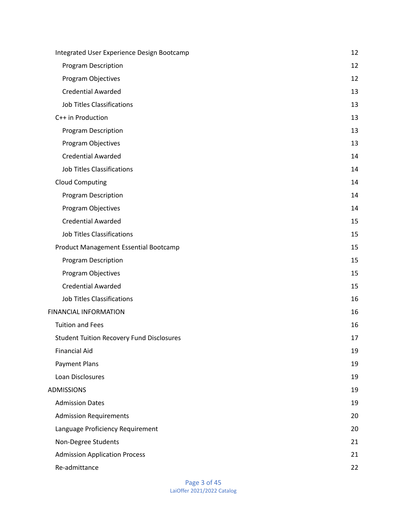| Integrated User Experience Design Bootcamp       | 12 |
|--------------------------------------------------|----|
| Program Description                              | 12 |
| Program Objectives                               | 12 |
| <b>Credential Awarded</b>                        | 13 |
| <b>Job Titles Classifications</b>                | 13 |
| C++ in Production                                | 13 |
| Program Description                              | 13 |
| Program Objectives                               | 13 |
| <b>Credential Awarded</b>                        | 14 |
| <b>Job Titles Classifications</b>                | 14 |
| <b>Cloud Computing</b>                           | 14 |
| <b>Program Description</b>                       | 14 |
| Program Objectives                               | 14 |
| <b>Credential Awarded</b>                        | 15 |
| <b>Job Titles Classifications</b>                | 15 |
| Product Management Essential Bootcamp            | 15 |
| <b>Program Description</b>                       | 15 |
| Program Objectives                               | 15 |
| <b>Credential Awarded</b>                        | 15 |
| <b>Job Titles Classifications</b>                | 16 |
| <b>FINANCIAL INFORMATION</b>                     | 16 |
| <b>Tuition and Fees</b>                          | 16 |
| <b>Student Tuition Recovery Fund Disclosures</b> | 17 |
| <b>Financial Aid</b>                             | 19 |
| <b>Payment Plans</b>                             | 19 |
| Loan Disclosures                                 | 19 |
| <b>ADMISSIONS</b>                                | 19 |
| <b>Admission Dates</b>                           | 19 |
| <b>Admission Requirements</b>                    | 20 |
| Language Proficiency Requirement                 | 20 |
| Non-Degree Students                              | 21 |
| <b>Admission Application Process</b>             | 21 |
| Re-admittance                                    | 22 |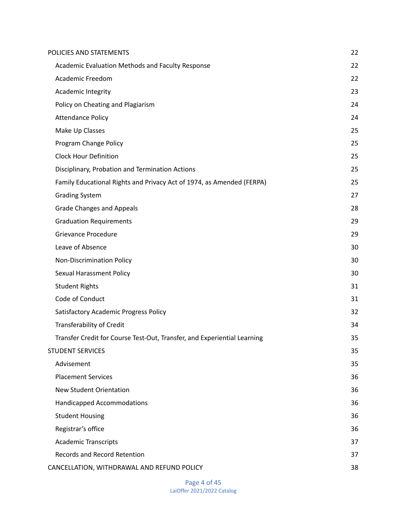| POLICIES AND STATEMENTS                                                  | 22 |
|--------------------------------------------------------------------------|----|
| Academic Evaluation Methods and Faculty Response                         | 22 |
| <b>Academic Freedom</b>                                                  | 22 |
| Academic Integrity                                                       | 23 |
| Policy on Cheating and Plagiarism                                        | 24 |
| <b>Attendance Policy</b>                                                 | 24 |
| Make Up Classes                                                          | 25 |
| Program Change Policy                                                    | 25 |
| <b>Clock Hour Definition</b>                                             | 25 |
| Disciplinary, Probation and Termination Actions                          | 25 |
| Family Educational Rights and Privacy Act of 1974, as Amended (FERPA)    | 25 |
| <b>Grading System</b>                                                    | 27 |
| <b>Grade Changes and Appeals</b>                                         | 28 |
| <b>Graduation Requirements</b>                                           | 29 |
| <b>Grievance Procedure</b>                                               | 29 |
| Leave of Absence                                                         | 30 |
| <b>Non-Discrimination Policy</b>                                         | 30 |
| <b>Sexual Harassment Policy</b>                                          | 30 |
| <b>Student Rights</b>                                                    | 31 |
| Code of Conduct                                                          | 31 |
| Satisfactory Academic Progress Policy                                    | 32 |
| Transferability of Credit                                                | 34 |
| Transfer Credit for Course Test-Out, Transfer, and Experiential Learning | 35 |
| <b>STUDENT SERVICES</b>                                                  | 35 |
| Advisement                                                               | 35 |
| <b>Placement Services</b>                                                | 36 |
| <b>New Student Orientation</b>                                           | 36 |
| <b>Handicapped Accommodations</b>                                        | 36 |
| <b>Student Housing</b>                                                   | 36 |
| Registrar's office                                                       | 36 |
| <b>Academic Transcripts</b>                                              | 37 |
| <b>Records and Record Retention</b>                                      | 37 |
| CANCELLATION, WITHDRAWAL AND REFUND POLICY                               | 38 |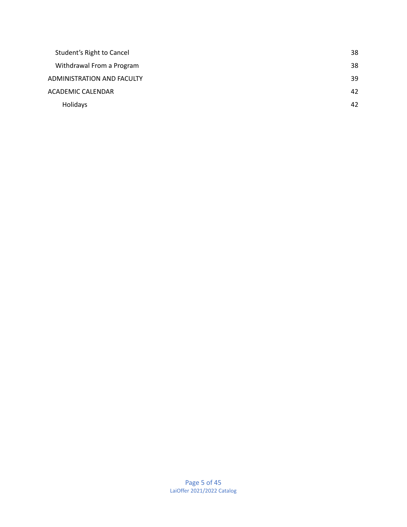| Student's Right to Cancel  | 38 |
|----------------------------|----|
| Withdrawal From a Program  | 38 |
| ADMINISTRATION AND FACULTY | 39 |
| <b>ACADEMIC CALENDAR</b>   | 42 |
| Holidays                   | 42 |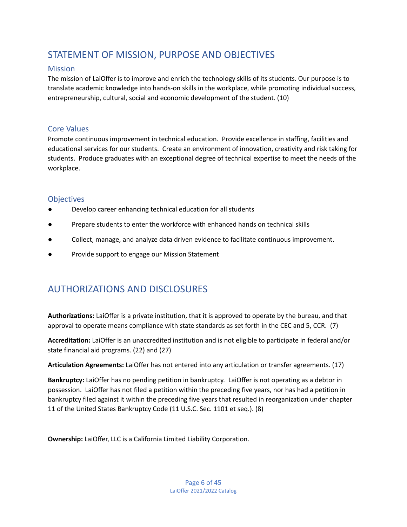# <span id="page-6-0"></span>STATEMENT OF MISSION, PURPOSE AND OBJECTIVES

## <span id="page-6-1"></span>**Mission**

The mission of LaiOffer is to improve and enrich the technology skills of its students. Our purpose is to translate academic knowledge into hands-on skills in the workplace, while promoting individual success, entrepreneurship, cultural, social and economic development of the student. (10)

## <span id="page-6-2"></span>Core Values

Promote continuous improvement in technical education. Provide excellence in staffing, facilities and educational services for our students. Create an environment of innovation, creativity and risk taking for students. Produce graduates with an exceptional degree of technical expertise to meet the needs of the workplace.

## <span id="page-6-3"></span>**Objectives**

- Develop career enhancing technical education for all students
- Prepare students to enter the workforce with enhanced hands on technical skills
- Collect, manage, and analyze data driven evidence to facilitate continuous improvement.
- Provide support to engage our Mission Statement

# <span id="page-6-4"></span>AUTHORIZATIONS AND DISCLOSURES

**Authorizations:** LaiOffer is a private institution, that it is approved to operate by the bureau, and that approval to operate means compliance with state standards as set forth in the CEC and 5, CCR. (7)

**Accreditation:** LaiOffer is an unaccredited institution and is not eligible to participate in federal and/or state financial aid programs. (22) and (27)

**Articulation Agreements:** LaiOffer has not entered into any articulation or transfer agreements. (17)

**Bankruptcy:** LaiOffer has no pending petition in bankruptcy. LaiOffer is not operating as a debtor in possession. LaiOffer has not filed a petition within the preceding five years, nor has had a petition in bankruptcy filed against it within the preceding five years that resulted in reorganization under chapter 11 of the United States Bankruptcy Code (11 U.S.C. Sec. 1101 et seq.). (8)

**Ownership:** LaiOffer, LLC is a California Limited Liability Corporation.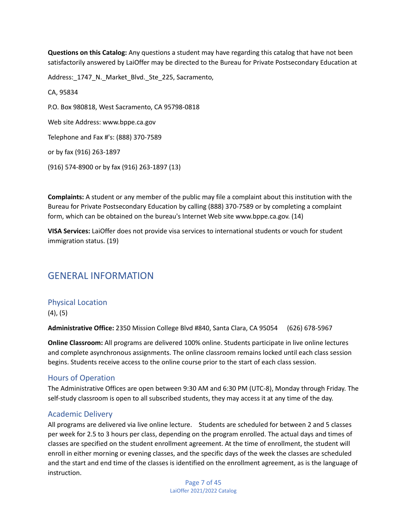**Questions on this Catalog:** Any questions a student may have regarding this catalog that have not been satisfactorily answered by LaiOffer may be directed to the Bureau for Private Postsecondary Education at

Address:\_1747\_N.\_Market\_Blvd.\_Ste\_225, Sacramento,

CA, 95834 P.O. Box 980818, West Sacramento, CA 95798-0818 Web site Address: www.bppe.ca.gov Telephone and Fax #'s: (888) 370-7589 or by fax (916) 263-1897 (916) 574-8900 or by fax (916) 263-1897 (13)

**Complaints:** A student or any member of the public may file a complaint about this institution with the Bureau for Private Postsecondary Education by calling (888) 370-7589 or by completing a complaint form, which can be obtained on the bureau's Internet Web site www.bppe.ca.gov. (14)

**VISA Services:** LaiOffer does not provide visa services to international students or vouch for student immigration status. (19)

# <span id="page-7-0"></span>GENERAL INFORMATION

## <span id="page-7-1"></span>Physical Location

(4), (5)

**Administrative Office:** 2350 Mission College Blvd #840, Santa Clara, CA 95054 (626) 678-5967

**Online Classroom:** All programs are delivered 100% online. Students participate in live online lectures and complete asynchronous assignments. The online classroom remains locked until each class session begins. Students receive access to the online course prior to the start of each class session.

## <span id="page-7-2"></span>Hours of Operation

The Administrative Offices are open between 9:30 AM and 6:30 PM (UTC-8), Monday through Friday. The self-study classroom is open to all subscribed students, they may access it at any time of the day.

## <span id="page-7-3"></span>Academic Delivery

All programs are delivered via live online lecture. Students are scheduled for between 2 and 5 classes per week for 2.5 to 3 hours per class, depending on the program enrolled. The actual days and times of classes are specified on the student enrollment agreement. At the time of enrollment, the student will enroll in either morning or evening classes, and the specific days of the week the classes are scheduled and the start and end time of the classes is identified on the enrollment agreement, as is the language of instruction.

> Page 7 of 45 LaiOffer 2021/2022 Catalog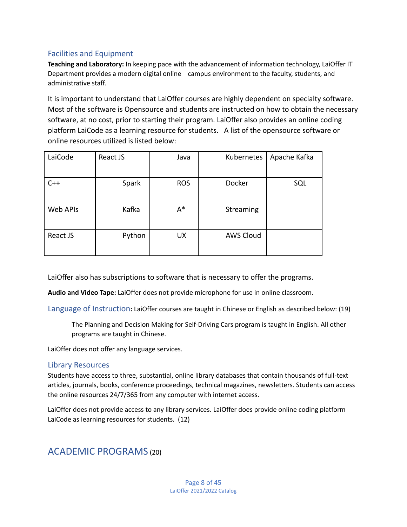## <span id="page-8-0"></span>Facilities and Equipment

**Teaching and Laboratory:** In keeping pace with the advancement of information technology, LaiOffer IT Department provides a modern digital online campus environment to the faculty, students, and administrative staff.

It is important to understand that LaiOffer courses are highly dependent on specialty software. Most of the software is Opensource and students are instructed on how to obtain the necessary software, at no cost, prior to starting their program. LaiOffer also provides an online coding platform LaiCode as a learning resource for students. A list of the opensource software or online resources utilized is listed below:

| LaiCode  | React JS | Java       | Kubernetes       | Apache Kafka |
|----------|----------|------------|------------------|--------------|
| $C++$    | Spark    | <b>ROS</b> | Docker           | SQL          |
| Web APIs | Kafka    | $A^*$      | Streaming        |              |
| React JS | Python   | <b>UX</b>  | <b>AWS Cloud</b> |              |

LaiOffer also has subscriptions to software that is necessary to offer the programs.

**Audio and Video Tape:** LaiOffer does not provide microphone for use in online classroom.

<span id="page-8-1"></span>Language of Instruction**:** LaiOffer courses are taught in Chinese or English as described below: (19)

The Planning and Decision Making for Self-Driving Cars program is taught in English. All other programs are taught in Chinese.

LaiOffer does not offer any language services.

## <span id="page-8-2"></span>Library Resources

Students have access to three, substantial, online library databases that contain thousands of full-text articles, journals, books, conference proceedings, technical magazines, newsletters. Students can access the online resources 24/7/365 from any computer with internet access.

LaiOffer does not provide access to any library services. LaiOffer does provide online coding platform LaiCode as learning resources for students. (12)

# <span id="page-8-3"></span>ACADEMIC PROGRAMS (20)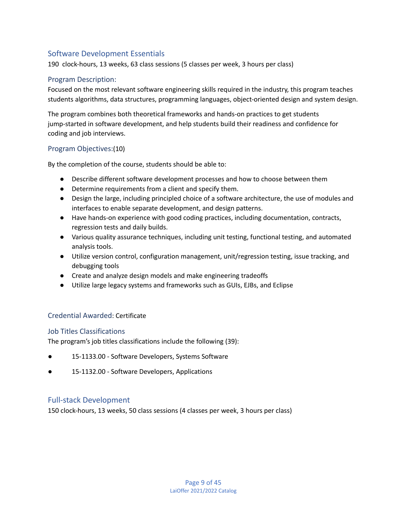## <span id="page-9-0"></span>Software Development Essentials

190 clock-hours, 13 weeks, 63 class sessions (5 classes per week, 3 hours per class)

#### <span id="page-9-1"></span>Program Description:

Focused on the most relevant software engineering skills required in the industry, this program teaches students algorithms, data structures, programming languages, object-oriented design and system design.

The program combines both theoretical frameworks and hands-on practices to get students jump-started in software development, and help students build their readiness and confidence for coding and job interviews.

## <span id="page-9-2"></span>Program Objectives:(10)

By the completion of the course, students should be able to:

- Describe different software development processes and how to choose between them
- Determine requirements from a client and specify them.
- Design the large, including principled choice of a software architecture, the use of modules and interfaces to enable separate development, and design patterns.
- Have hands-on experience with good coding practices, including documentation, contracts, regression tests and daily builds.
- Various quality assurance techniques, including unit testing, functional testing, and automated analysis tools.
- Utilize version control, configuration management, unit/regression testing, issue tracking, and debugging tools
- Create and analyze design models and make engineering tradeoffs
- Utilize large legacy systems and frameworks such as GUIs, EJBs, and Eclipse

## <span id="page-9-3"></span>Credential Awarded: Certificate

#### <span id="page-9-4"></span>Job Titles Classifications

The program's job titles classifications include the following (39):

- 15-1133.00 Software Developers, Systems Software
- 15-1132.00 Software Developers, Applications

## <span id="page-9-5"></span>Full-stack Development

150 clock-hours, 13 weeks, 50 class sessions (4 classes per week, 3 hours per class)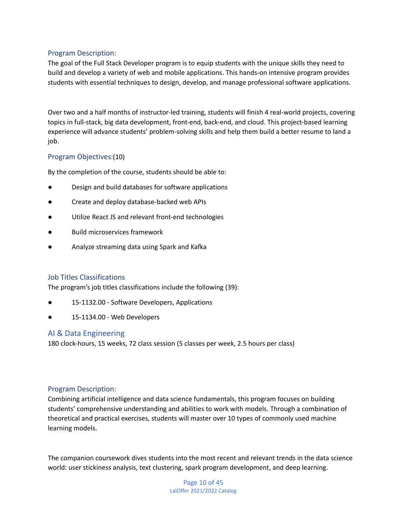## <span id="page-10-0"></span>Program Description:

The goal of the Full Stack Developer program is to equip students with the unique skills they need to build and develop a variety of web and mobile applications. This hands-on intensive program provides students with essential techniques to design, develop, and manage professional software applications.

Over two and a half months of instructor-led training, students will finish 4 real-world projects, covering topics in full-stack, big data development, front-end, back-end, and cloud. This project-based learning experience will advance students' problem-solving skills and help them build a better resume to land a job.

## <span id="page-10-1"></span>Program Objectives:(10)

By the completion of the course, students should be able to:

- Design and build databases for software applications
- Create and deploy database-backed web APIs
- Utilize React JS and relevant front-end technologies
- **Build microservices framework**
- Analyze streaming data using Spark and Kafka

#### <span id="page-10-2"></span>Job Titles Classifications

The program's job titles classifications include the following (39):

- 15-1132.00 Software Developers, Applications
- 15-1134.00 Web Developers

## <span id="page-10-3"></span>AI & Data Engineering

180 clock-hours, 15 weeks, 72 class session (5 classes per week, 2.5 hours per class)

#### <span id="page-10-4"></span>Program Description:

Combining artificial intelligence and data science fundamentals, this program focuses on building students' comprehensive understanding and abilities to work with models. Through a combination of theoretical and practical exercises, students will master over 10 types of commonly used machine learning models.

The companion coursework dives students into the most recent and relevant trends in the data science world: user stickiness analysis, text clustering, spark program development, and deep learning.

> Page 10 of 45 LaiOffer 2021/2022 Catalog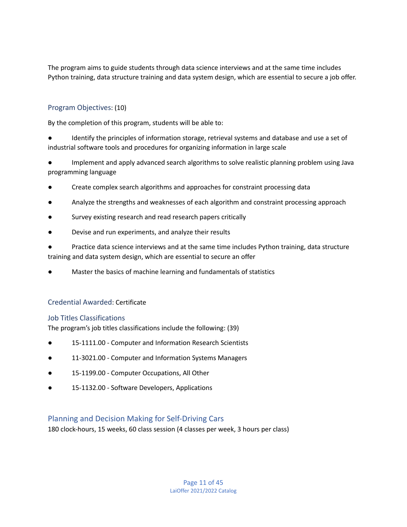The program aims to guide students through data science interviews and at the same time includes Python training, data structure training and data system design, which are essential to secure a job offer.

## <span id="page-11-0"></span>Program Objectives: (10)

By the completion of this program, students will be able to:

Identify the principles of information storage, retrieval systems and database and use a set of industrial software tools and procedures for organizing information in large scale

Implement and apply advanced search algorithms to solve realistic planning problem using Java programming language

- Create complex search algorithms and approaches for constraint processing data
- Analyze the strengths and weaknesses of each algorithm and constraint processing approach
- Survey existing research and read research papers critically
- Devise and run experiments, and analyze their results

Practice data science interviews and at the same time includes Python training, data structure training and data system design, which are essential to secure an offer

Master the basics of machine learning and fundamentals of statistics

## <span id="page-11-1"></span>Credential Awarded: Certificate

## <span id="page-11-2"></span>Job Titles Classifications

The program's job titles classifications include the following: (39)

- 15-1111.00 Computer and Information Research Scientists
- 11-3021.00 Computer and Information Systems Managers
- 15-1199.00 Computer Occupations, All Other
- 15-1132.00 Software Developers, Applications

## <span id="page-11-3"></span>Planning and Decision Making for Self-Driving Cars

180 clock-hours, 15 weeks, 60 class session (4 classes per week, 3 hours per class)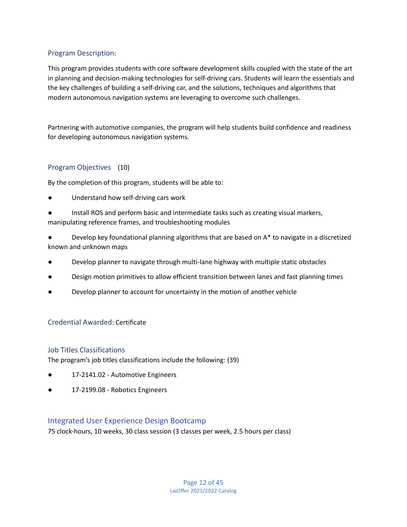## <span id="page-12-0"></span>Program Description:

This program provides students with core software development skills coupled with the state of the art in planning and decision-making technologies for self-driving cars. Students will learn the essentials and the key challenges of building a self-driving car, and the solutions, techniques and algorithms that modern autonomous navigation systems are leveraging to overcome such challenges.

Partnering with automotive companies, the program will help students build confidence and readiness for developing autonomous navigation systems.

#### <span id="page-12-1"></span>Program Objectives (10)

By the completion of this program, students will be able to:

- Understand how self-driving cars work
- Install ROS and perform basic and intermediate tasks such as creating visual markers, manipulating reference frames, and troubleshooting modules
- Develop key foundational planning algorithms that are based on  $A^*$  to navigate in a discretized known and unknown maps
- Develop planner to navigate through multi-lane highway with multiple static obstacles
- Design motion primitives to allow efficient transition between lanes and fast planning times
- Develop planner to account for uncertainty in the motion of another vehicle

#### <span id="page-12-2"></span>Credential Awarded: Certificate

#### <span id="page-12-3"></span>Job Titles Classifications

The program's job titles classifications include the following: (39)

- 17-2141.02 Automotive Engineers
- 17-2199.08 Robotics Engineers

#### <span id="page-12-4"></span>Integrated User Experience Design Bootcamp

75 clock-hours, 10 weeks, 30 class session (3 classes per week, 2.5 hours per class)

Page 12 of 45 LaiOffer 2021/2022 Catalog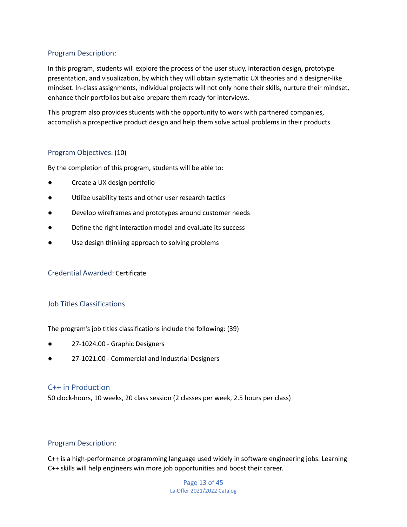## <span id="page-13-0"></span>Program Description:

In this program, students will explore the process of the user study, interaction design, prototype presentation, and visualization, by which they will obtain systematic UX theories and a designer-like mindset. In-class assignments, individual projects will not only hone their skills, nurture their mindset, enhance their portfolios but also prepare them ready for interviews.

This program also provides students with the opportunity to work with partnered companies, accomplish a prospective product design and help them solve actual problems in their products.

#### <span id="page-13-1"></span>Program Objectives: (10)

By the completion of this program, students will be able to:

- Create a UX design portfolio
- Utilize usability tests and other user research tactics
- Develop wireframes and prototypes around customer needs
- Define the right interaction model and evaluate its success
- Use design thinking approach to solving problems

<span id="page-13-2"></span>Credential Awarded: Certificate

## <span id="page-13-3"></span>Job Titles Classifications

The program's job titles classifications include the following: (39)

- 27-1024.00 Graphic Designers
- 27-1021.00 Commercial and Industrial Designers

## <span id="page-13-4"></span>C++ in Production

50 clock-hours, 10 weeks, 20 class session (2 classes per week, 2.5 hours per class)

## <span id="page-13-5"></span>Program Description:

C++ is a high-performance programming language used widely in software engineering jobs. Learning C++ skills will help engineers win more job opportunities and boost their career.

> Page 13 of 45 LaiOffer 2021/2022 Catalog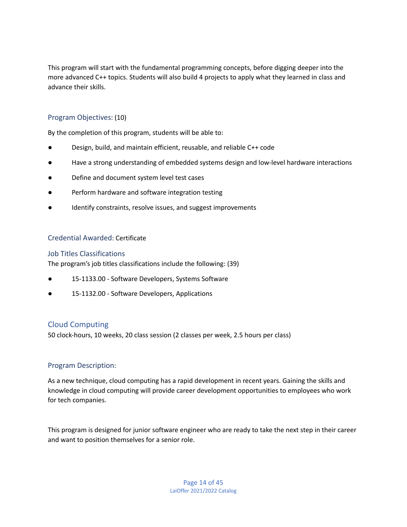This program will start with the fundamental programming concepts, before digging deeper into the more advanced C++ topics. Students will also build 4 projects to apply what they learned in class and advance their skills.

## <span id="page-14-0"></span>Program Objectives: (10)

By the completion of this program, students will be able to:

- Design, build, and maintain efficient, reusable, and reliable C++ code
- Have a strong understanding of embedded systems design and low-level hardware interactions
- Define and document system level test cases
- Perform hardware and software integration testing
- Identify constraints, resolve issues, and suggest improvements

#### <span id="page-14-1"></span>Credential Awarded: Certificate

#### <span id="page-14-2"></span>Job Titles Classifications

The program's job titles classifications include the following: (39)

- 15-1133.00 Software Developers, Systems Software
- 15-1132.00 Software Developers, Applications

## <span id="page-14-3"></span>Cloud Computing

50 clock-hours, 10 weeks, 20 class session (2 classes per week, 2.5 hours per class)

#### <span id="page-14-4"></span>Program Description:

As a new technique, cloud computing has a rapid development in recent years. Gaining the skills and knowledge in cloud computing will provide career development opportunities to employees who work for tech companies.

This program is designed for junior software engineer who are ready to take the next step in their career and want to position themselves for a senior role.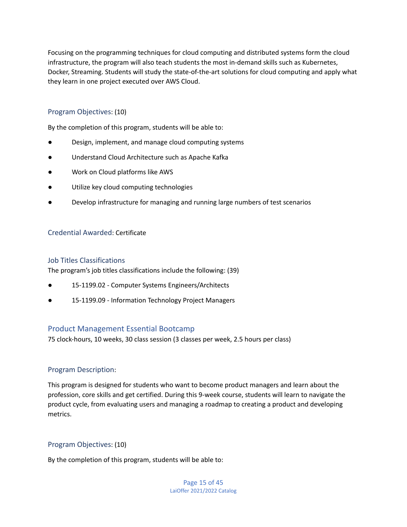Focusing on the programming techniques for cloud computing and distributed systems form the cloud infrastructure, the program will also teach students the most in-demand skills such as Kubernetes, Docker, Streaming. Students will study the state-of-the-art solutions for cloud computing and apply what they learn in one project executed over AWS Cloud.

## <span id="page-15-0"></span>Program Objectives: (10)

By the completion of this program, students will be able to:

- Design, implement, and manage cloud computing systems
- Understand Cloud Architecture such as Apache Kafka
- Work on Cloud platforms like AWS
- Utilize key cloud computing technologies
- Develop infrastructure for managing and running large numbers of test scenarios

#### <span id="page-15-1"></span>Credential Awarded: Certificate

#### <span id="page-15-2"></span>Job Titles Classifications

The program's job titles classifications include the following: (39)

- 15-1199.02 Computer Systems Engineers/Architects
- 15-1199.09 Information Technology Project Managers

## <span id="page-15-3"></span>Product Management Essential Bootcamp

75 clock-hours, 10 weeks, 30 class session (3 classes per week, 2.5 hours per class)

## <span id="page-15-4"></span>Program Description:

This program is designed for students who want to become product managers and learn about the profession, core skills and get certified. During this 9-week course, students will learn to navigate the product cycle, from evaluating users and managing a roadmap to creating a product and developing metrics.

#### <span id="page-15-5"></span>Program Objectives: (10)

By the completion of this program, students will be able to: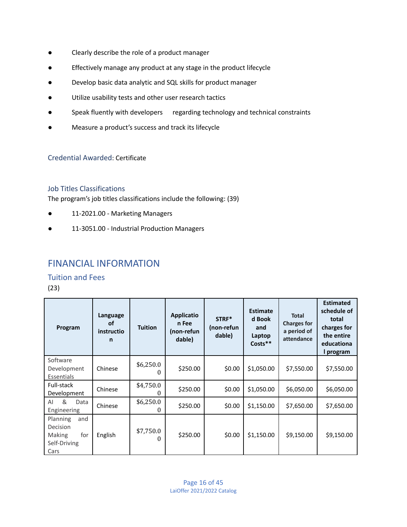- Clearly describe the role of a product manager
- Effectively manage any product at any stage in the product lifecycle
- Develop basic data analytic and SQL skills for product manager
- Utilize usability tests and other user research tactics
- Speak fluently with developers regarding technology and technical constraints
- Measure a product's success and track its lifecycle

<span id="page-16-0"></span>Credential Awarded: Certificate

## <span id="page-16-1"></span>Job Titles Classifications

The program's job titles classifications include the following: (39)

- 11-2021.00 Marketing Managers
- 11-3051.00 Industrial Production Managers

# <span id="page-16-2"></span>FINANCIAL INFORMATION

<span id="page-16-3"></span>Tuition and Fees

(23)

| Program                                                                     | Language<br>οf<br>instructio<br>n | <b>Tuition</b>                 | <b>Applicatio</b><br>n Fee<br>(non-refun<br>dable) | STRF*<br>(non-refun<br>dable) | <b>Estimate</b><br>d Book<br>and<br>Laptop<br>Costs** | <b>Total</b><br><b>Charges for</b><br>a period of<br>attendance | <b>Estimated</b><br>schedule of<br>total<br>charges for<br>the entire<br>educationa<br>l program |
|-----------------------------------------------------------------------------|-----------------------------------|--------------------------------|----------------------------------------------------|-------------------------------|-------------------------------------------------------|-----------------------------------------------------------------|--------------------------------------------------------------------------------------------------|
| Software<br>Development<br>Essentials                                       | Chinese                           | \$6,250.0                      | \$250.00                                           | \$0.00                        | \$1,050.00                                            | \$7,550.00                                                      | \$7,550.00                                                                                       |
| Full-stack<br>Development                                                   | Chinese                           | \$4,750.0                      | \$250.00                                           | \$0.00                        | \$1,050.00                                            | \$6,050.00                                                      | \$6,050.00                                                                                       |
| &<br>AI<br>Data<br>Engineering                                              | Chinese                           | \$6,250.0<br>0                 | \$250.00                                           | \$0.00                        | \$1,150.00                                            | \$7,650.00                                                      | \$7,650.00                                                                                       |
| and<br>Planning<br>Decision<br><b>Making</b><br>for<br>Self-Driving<br>Cars | English                           | \$7,750.0<br>$\mathbf{\Omega}$ | \$250.00                                           | \$0.00                        | \$1,150.00                                            | \$9,150.00                                                      | \$9,150.00                                                                                       |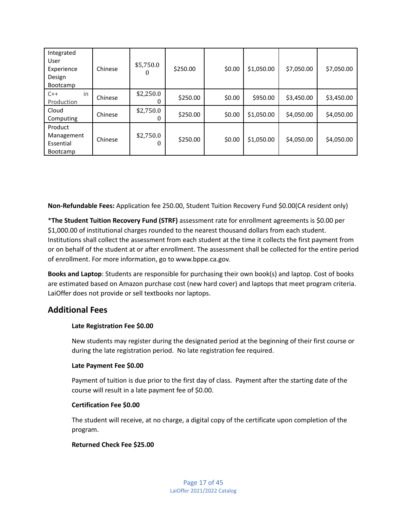| Integrated<br>User<br>Experience<br>Design<br>Bootcamp | Chinese | \$5,750.0<br>0      | \$250.00 | \$0.00 | \$1,050.00 | \$7,050.00 | \$7,050.00 |
|--------------------------------------------------------|---------|---------------------|----------|--------|------------|------------|------------|
| in<br>$C++$<br>Production                              | Chinese | \$2,250.0           | \$250.00 | \$0.00 | \$950.00   | \$3,450.00 | \$3,450.00 |
| Cloud<br>Computing                                     | Chinese | \$2,750.0           | \$250.00 | \$0.00 | \$1,050.00 | \$4,050.00 | \$4,050.00 |
| Product<br>Management<br>Essential<br><b>Bootcamp</b>  | Chinese | \$2,750.0<br>$_{0}$ | \$250.00 | \$0.00 | \$1,050.00 | \$4,050.00 | \$4,050.00 |

**Non-Refundable Fees:** Application fee 250.00, Student Tuition Recovery Fund \$0.00(CA resident only)

\***The Student Tuition Recovery Fund (STRF)** assessment rate for enrollment agreements is \$0.00 per \$1,000.00 of institutional charges rounded to the nearest thousand dollars from each student. Institutions shall collect the assessment from each student at the time it collects the first payment from or on behalf of the student at or after enrollment. The assessment shall be collected for the entire period of enrollment. For more information, go to www.bppe.ca.gov.

**Books and Laptop**: Students are responsible for purchasing their own book(s) and laptop. Cost of books are estimated based on Amazon purchase cost (new hard cover) and laptops that meet program criteria. LaiOffer does not provide or sell textbooks nor laptops.

## **Additional Fees**

## **Late Registration Fee \$0.00**

New students may register during the designated period at the beginning of their first course or during the late registration period. No late registration fee required.

## **Late Payment Fee \$0.00**

Payment of tuition is due prior to the first day of class. Payment after the starting date of the course will result in a late payment fee of \$0.00.

#### **Certification Fee \$0.00**

The student will receive, at no charge, a digital copy of the certificate upon completion of the program.

## **Returned Check Fee \$25.00**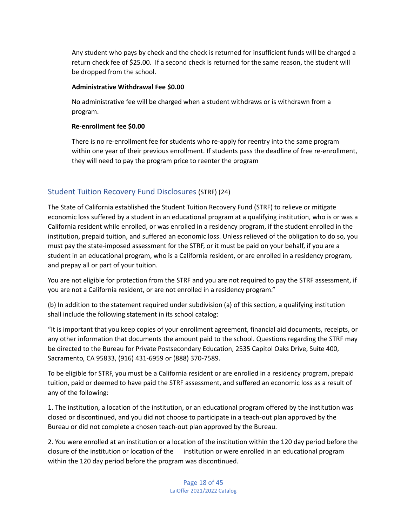Any student who pays by check and the check is returned for insufficient funds will be charged a return check fee of \$25.00. If a second check is returned for the same reason, the student will be dropped from the school.

#### **Administrative Withdrawal Fee \$0.00**

No administrative fee will be charged when a student withdraws or is withdrawn from a program.

#### **Re-enrollment fee \$0.00**

There is no re-enrollment fee for students who re-apply for reentry into the same program within one year of their previous enrollment. If students pass the deadline of free re-enrollment, they will need to pay the program price to reenter the program

## <span id="page-18-0"></span>Student Tuition Recovery Fund Disclosures (STRF) (24)

The State of California established the Student Tuition Recovery Fund (STRF) to relieve or mitigate economic loss suffered by a student in an educational program at a qualifying institution, who is or was a California resident while enrolled, or was enrolled in a residency program, if the student enrolled in the institution, prepaid tuition, and suffered an economic loss. Unless relieved of the obligation to do so, you must pay the state-imposed assessment for the STRF, or it must be paid on your behalf, if you are a student in an educational program, who is a California resident, or are enrolled in a residency program, and prepay all or part of your tuition.

You are not eligible for protection from the STRF and you are not required to pay the STRF assessment, if you are not a California resident, or are not enrolled in a residency program."

(b) In addition to the statement required under subdivision (a) of this section, a qualifying institution shall include the following statement in its school catalog:

"It is important that you keep copies of your enrollment agreement, financial aid documents, receipts, or any other information that documents the amount paid to the school. Questions regarding the STRF may be directed to the Bureau for Private Postsecondary Education, 2535 Capitol Oaks Drive, Suite 400, Sacramento, CA 95833, (916) 431-6959 or (888) 370-7589.

To be eligible for STRF, you must be a California resident or are enrolled in a residency program, prepaid tuition, paid or deemed to have paid the STRF assessment, and suffered an economic loss as a result of any of the following:

1. The institution, a location of the institution, or an educational program offered by the institution was closed or discontinued, and you did not choose to participate in a teach-out plan approved by the Bureau or did not complete a chosen teach-out plan approved by the Bureau.

2. You were enrolled at an institution or a location of the institution within the 120 day period before the closure of the institution or location of the institution or were enrolled in an educational program within the 120 day period before the program was discontinued.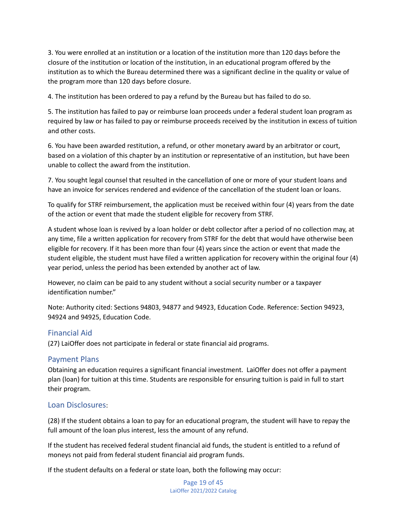3. You were enrolled at an institution or a location of the institution more than 120 days before the closure of the institution or location of the institution, in an educational program offered by the institution as to which the Bureau determined there was a significant decline in the quality or value of the program more than 120 days before closure.

4. The institution has been ordered to pay a refund by the Bureau but has failed to do so.

5. The institution has failed to pay or reimburse loan proceeds under a federal student loan program as required by law or has failed to pay or reimburse proceeds received by the institution in excess of tuition and other costs.

6. You have been awarded restitution, a refund, or other monetary award by an arbitrator or court, based on a violation of this chapter by an institution or representative of an institution, but have been unable to collect the award from the institution.

7. You sought legal counsel that resulted in the cancellation of one or more of your student loans and have an invoice for services rendered and evidence of the cancellation of the student loan or loans.

To qualify for STRF reimbursement, the application must be received within four (4) years from the date of the action or event that made the student eligible for recovery from STRF.

A student whose loan is revived by a loan holder or debt collector after a period of no collection may, at any time, file a written application for recovery from STRF for the debt that would have otherwise been eligible for recovery. If it has been more than four (4) years since the action or event that made the student eligible, the student must have filed a written application for recovery within the original four (4) year period, unless the period has been extended by another act of law.

However, no claim can be paid to any student without a social security number or a taxpayer identification number."

Note: Authority cited: Sections 94803, 94877 and 94923, Education Code. Reference: Section 94923, 94924 and 94925, Education Code.

## <span id="page-19-0"></span>Financial Aid

(27) LaiOffer does not participate in federal or state financial aid programs.

## <span id="page-19-1"></span>Payment Plans

Obtaining an education requires a significant financial investment. LaiOffer does not offer a payment plan (loan) for tuition at this time. Students are responsible for ensuring tuition is paid in full to start their program.

#### <span id="page-19-2"></span>Loan Disclosures:

(28) If the student obtains a loan to pay for an educational program, the student will have to repay the full amount of the loan plus interest, less the amount of any refund.

If the student has received federal student financial aid funds, the student is entitled to a refund of moneys not paid from federal student financial aid program funds.

If the student defaults on a federal or state loan, both the following may occur:

Page 19 of 45 LaiOffer 2021/2022 Catalog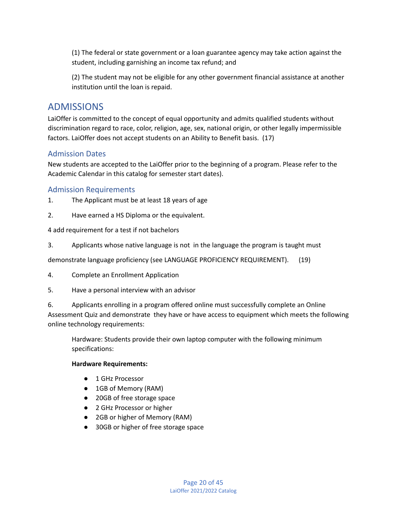(1) The federal or state government or a loan guarantee agency may take action against the student, including garnishing an income tax refund; and

(2) The student may not be eligible for any other government financial assistance at another institution until the loan is repaid.

# <span id="page-20-0"></span>ADMISSIONS

LaiOffer is committed to the concept of equal opportunity and admits qualified students without discrimination regard to race, color, religion, age, sex, national origin, or other legally impermissible factors. LaiOffer does not accept students on an Ability to Benefit basis. (17)

## <span id="page-20-1"></span>Admission Dates

New students are accepted to the LaiOffer prior to the beginning of a program. Please refer to the Academic Calendar in this catalog for semester start dates).

## <span id="page-20-2"></span>Admission Requirements

- 1. The Applicant must be at least 18 years of age
- 2. Have earned a HS Diploma or the equivalent.

## 4 add requirement for a test if not bachelors

3. Applicants whose native language is not in the language the program is taught must

demonstrate language proficiency (see LANGUAGE PROFICIENCY REQUIREMENT). (19)

- 4. Complete an Enrollment Application
- 5. Have a personal interview with an advisor

6. Applicants enrolling in a program offered online must successfully complete an Online Assessment Quiz and demonstrate they have or have access to equipment which meets the following online technology requirements:

Hardware: Students provide their own laptop computer with the following minimum specifications:

## **Hardware Requirements:**

- 1 GHz Processor
- 1GB of Memory (RAM)
- 20GB of free storage space
- 2 GHz Processor or higher
- 2GB or higher of Memory (RAM)
- 30GB or higher of free storage space

Page 20 of 45 LaiOffer 2021/2022 Catalog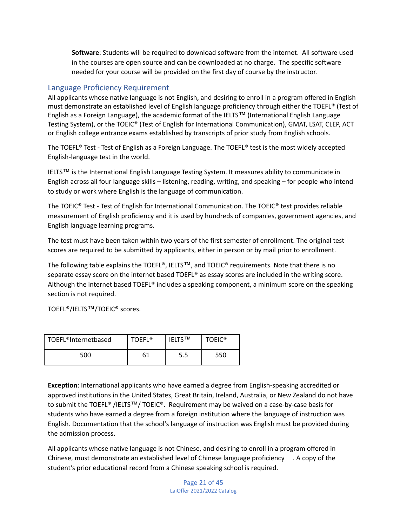**Software**: Students will be required to download software from the internet. All software used in the courses are open source and can be downloaded at no charge. The specific software needed for your course will be provided on the first day of course by the instructor.

## <span id="page-21-0"></span>Language Proficiency Requirement

All applicants whose native language is not English, and desiring to enroll in a program offered in English must demonstrate an established level of English language proficiency through either the TOEFL® (Test of English as a Foreign Language), the academic format of the IELTS™ (International English Language Testing System), or the TOEIC® (Test of English for International Communication), GMAT, LSAT, CLEP, ACT or English college entrance exams established by transcripts of prior study from English schools.

The TOEFL® Test - Test of English as a Foreign Language. The TOEFL® test is the most widely accepted English-language test in the world.

IELTS™ is the International English Language Testing System. It measures ability to communicate in English across all four language skills – listening, reading, writing, and speaking – for people who intend to study or work where English is the language of communication.

The TOEIC® Test - Test of English for International Communication. The TOEIC® test provides reliable measurement of English proficiency and it is used by hundreds of companies, government agencies, and English language learning programs.

The test must have been taken within two years of the first semester of enrollment. The original test scores are required to be submitted by applicants, either in person or by mail prior to enrollment.

The following table explains the TOEFL®, IELTS™, and TOEIC® requirements. Note that there is no separate essay score on the internet based TOEFL® as essay scores are included in the writing score. Although the internet based TOEFL® includes a speaking component, a minimum score on the speaking section is not required.

TOEFL®/IELTS™/TOEIC® scores.

| TOEFL <sup>®</sup> Internetbased | <b>TOFFI</b> <sup>®</sup> | <b>IFLTS<sup>TM</sup></b> | <b>TOFIC<sup>®</sup></b> |
|----------------------------------|---------------------------|---------------------------|--------------------------|
| 500                              |                           | 5.5                       | 550                      |

**Exception**: International applicants who have earned a degree from English-speaking accredited or approved institutions in the United States, Great Britain, Ireland, Australia, or New Zealand do not have to submit the TOEFL® /IELTS™/ TOEIC®. Requirement may be waived on a case-by-case basis for students who have earned a degree from a foreign institution where the language of instruction was English. Documentation that the school's language of instruction was English must be provided during the admission process.

All applicants whose native language is not Chinese, and desiring to enroll in a program offered in Chinese, must demonstrate an established level of Chinese language proficiency . A copy of the student's prior educational record from a Chinese speaking school is required.

> Page 21 of 45 LaiOffer 2021/2022 Catalog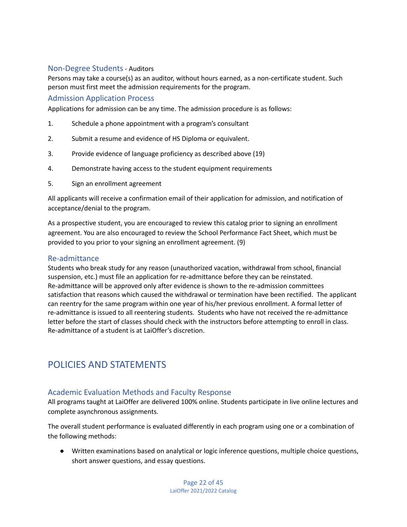## <span id="page-22-0"></span>Non-Degree Students- Auditors

Persons may take a course(s) as an auditor, without hours earned, as a non-certificate student. Such person must first meet the admission requirements for the program.

## <span id="page-22-1"></span>Admission Application Process

Applications for admission can be any time. The admission procedure is as follows:

- 1. Schedule a phone appointment with a program's consultant
- 2. Submit a resume and evidence of HS Diploma or equivalent.
- 3. Provide evidence of language proficiency as described above (19)
- 4. Demonstrate having access to the student equipment requirements
- 5. Sign an enrollment agreement

All applicants will receive a confirmation email of their application for admission, and notification of acceptance/denial to the program.

As a prospective student, you are encouraged to review this catalog prior to signing an enrollment agreement. You are also encouraged to review the School Performance Fact Sheet, which must be provided to you prior to your signing an enrollment agreement. (9)

## <span id="page-22-2"></span>Re-admittance

Students who break study for any reason (unauthorized vacation, withdrawal from school, financial suspension, etc.) must file an application for re-admittance before they can be reinstated. Re-admittance will be approved only after evidence is shown to the re-admission committees satisfaction that reasons which caused the withdrawal or termination have been rectified. The applicant can reentry for the same program within one year of his/her previous enrollment. A formal letter of re-admittance is issued to all reentering students. Students who have not received the re-admittance letter before the start of classes should check with the instructors before attempting to enroll in class. Re-admittance of a student is at LaiOffer's discretion.

# <span id="page-22-3"></span>POLICIES AND STATEMENTS

## <span id="page-22-4"></span>Academic Evaluation Methods and Faculty Response

All programs taught at LaiOffer are delivered 100% online. Students participate in live online lectures and complete asynchronous assignments.

The overall student performance is evaluated differently in each program using one or a combination of the following methods:

● Written examinations based on analytical or logic inference questions, multiple choice questions, short answer questions, and essay questions.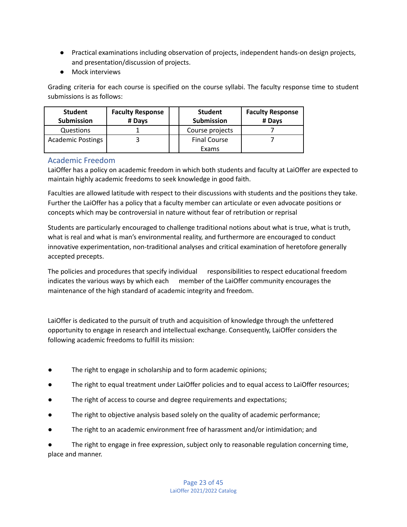- Practical examinations including observation of projects, independent hands-on design projects, and presentation/discussion of projects.
- Mock interviews

Grading criteria for each course is specified on the course syllabi. The faculty response time to student submissions is as follows:

| <b>Student</b><br><b>Submission</b> | <b>Faculty Response</b><br># Days | <b>Student</b><br><b>Submission</b> | <b>Faculty Response</b><br># Davs |
|-------------------------------------|-----------------------------------|-------------------------------------|-----------------------------------|
| Questions                           |                                   | Course projects                     |                                   |
| <b>Academic Postings</b>            |                                   | <b>Final Course</b>                 |                                   |
|                                     |                                   | Exams                               |                                   |

## <span id="page-23-0"></span>Academic Freedom

LaiOffer has a policy on academic freedom in which both students and faculty at LaiOffer are expected to maintain highly academic freedoms to seek knowledge in good faith.

Faculties are allowed latitude with respect to their discussions with students and the positions they take. Further the LaiOffer has a policy that a faculty member can articulate or even advocate positions or concepts which may be controversial in nature without fear of retribution or reprisal

Students are particularly encouraged to challenge traditional notions about what is true, what is truth, what is real and what is man's environmental reality, and furthermore are encouraged to conduct innovative experimentation, non-traditional analyses and critical examination of heretofore generally accepted precepts.

The policies and procedures that specify individual responsibilities to respect educational freedom indicates the various ways by which each member of the LaiOffer community encourages the maintenance of the high standard of academic integrity and freedom.

LaiOffer is dedicated to the pursuit of truth and acquisition of knowledge through the unfettered opportunity to engage in research and intellectual exchange. Consequently, LaiOffer considers the following academic freedoms to fulfill its mission:

- The right to engage in scholarship and to form academic opinions;
- The right to equal treatment under LaiOffer policies and to equal access to LaiOffer resources;
- The right of access to course and degree requirements and expectations;
- The right to objective analysis based solely on the quality of academic performance;
- The right to an academic environment free of harassment and/or intimidation; and

The right to engage in free expression, subject only to reasonable regulation concerning time, place and manner.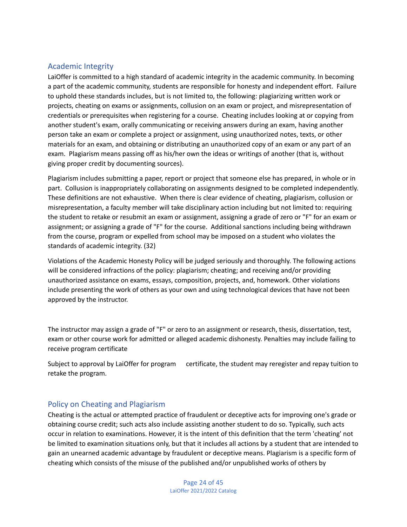## <span id="page-24-0"></span>Academic Integrity

LaiOffer is committed to a high standard of academic integrity in the academic community. In becoming a part of the academic community, students are responsible for honesty and independent effort. Failure to uphold these standards includes, but is not limited to, the following: plagiarizing written work or projects, cheating on exams or assignments, collusion on an exam or project, and misrepresentation of credentials or prerequisites when registering for a course. Cheating includes looking at or copying from another student's exam, orally communicating or receiving answers during an exam, having another person take an exam or complete a project or assignment, using unauthorized notes, texts, or other materials for an exam, and obtaining or distributing an unauthorized copy of an exam or any part of an exam. Plagiarism means passing off as his/her own the ideas or writings of another (that is, without giving proper credit by documenting sources).

Plagiarism includes submitting a paper, report or project that someone else has prepared, in whole or in part. Collusion is inappropriately collaborating on assignments designed to be completed independently. These definitions are not exhaustive. When there is clear evidence of cheating, plagiarism, collusion or misrepresentation, a faculty member will take disciplinary action including but not limited to: requiring the student to retake or resubmit an exam or assignment, assigning a grade of zero or "F" for an exam or assignment; or assigning a grade of "F" for the course. Additional sanctions including being withdrawn from the course, program or expelled from school may be imposed on a student who violates the standards of academic integrity. (32)

Violations of the Academic Honesty Policy will be judged seriously and thoroughly. The following actions will be considered infractions of the policy: plagiarism; cheating; and receiving and/or providing unauthorized assistance on exams, essays, composition, projects, and, homework. Other violations include presenting the work of others as your own and using technological devices that have not been approved by the instructor.

The instructor may assign a grade of "F" or zero to an assignment or research, thesis, dissertation, test, exam or other course work for admitted or alleged academic dishonesty. Penalties may include failing to receive program certificate

Subject to approval by LaiOffer for program certificate, the student may reregister and repay tuition to retake the program.

## <span id="page-24-1"></span>Policy on Cheating and Plagiarism

Cheating is the actual or attempted practice of fraudulent or deceptive acts for improving one's grade or obtaining course credit; such acts also include assisting another student to do so. Typically, such acts occur in relation to examinations. However, it is the intent of this definition that the term 'cheating' not be limited to examination situations only, but that it includes all actions by a student that are intended to gain an unearned academic advantage by fraudulent or deceptive means. Plagiarism is a specific form of cheating which consists of the misuse of the published and/or unpublished works of others by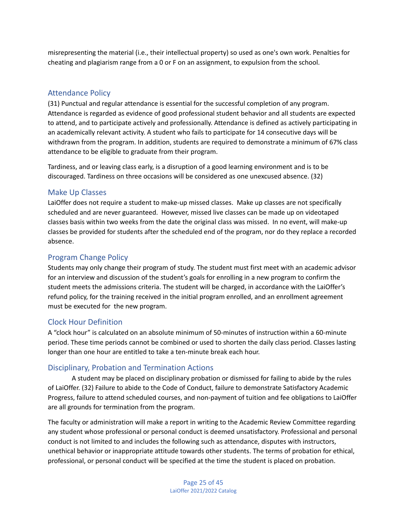misrepresenting the material (i.e., their intellectual property) so used as one's own work. Penalties for cheating and plagiarism range from a 0 or F on an assignment, to expulsion from the school.

## <span id="page-25-0"></span>Attendance Policy

(31) Punctual and regular attendance is essential for the successful completion of any program. Attendance is regarded as evidence of good professional student behavior and all students are expected to attend, and to participate actively and professionally. Attendance is defined as actively participating in an academically relevant activity. A student who fails to participate for 14 consecutive days will be withdrawn from the program. In addition, students are required to demonstrate a minimum of 67% class attendance to be eligible to graduate from their program.

Tardiness, and or leaving class early, is a disruption of a good learning environment and is to be discouraged. Tardiness on three occasions will be considered as one unexcused absence. (32)

## <span id="page-25-1"></span>Make Up Classes

LaiOffer does not require a student to make-up missed classes. Make up classes are not specifically scheduled and are never guaranteed. However, missed live classes can be made up on videotaped classes basis within two weeks from the date the original class was missed. In no event, will make-up classes be provided for students after the scheduled end of the program, nor do they replace a recorded absence.

## <span id="page-25-2"></span>Program Change Policy

Students may only change their program of study. The student must first meet with an academic advisor for an interview and discussion of the student's goals for enrolling in a new program to confirm the student meets the admissions criteria. The student will be charged, in accordance with the LaiOffer's refund policy, for the training received in the initial program enrolled, and an enrollment agreement must be executed for the new program.

## <span id="page-25-3"></span>Clock Hour Definition

A "clock hour" is calculated on an absolute minimum of 50-minutes of instruction within a 60-minute period. These time periods cannot be combined or used to shorten the daily class period. Classes lasting longer than one hour are entitled to take a ten-minute break each hour.

## <span id="page-25-4"></span>Disciplinary, Probation and Termination Actions

A student may be placed on disciplinary probation or dismissed for failing to abide by the rules of LaiOffer. (32) Failure to abide to the Code of Conduct, failure to demonstrate Satisfactory Academic Progress, failure to attend scheduled courses, and non-payment of tuition and fee obligations to LaiOffer are all grounds for termination from the program.

The faculty or administration will make a report in writing to the Academic Review Committee regarding any student whose professional or personal conduct is deemed unsatisfactory. Professional and personal conduct is not limited to and includes the following such as attendance, disputes with instructors, unethical behavior or inappropriate attitude towards other students. The terms of probation for ethical, professional, or personal conduct will be specified at the time the student is placed on probation.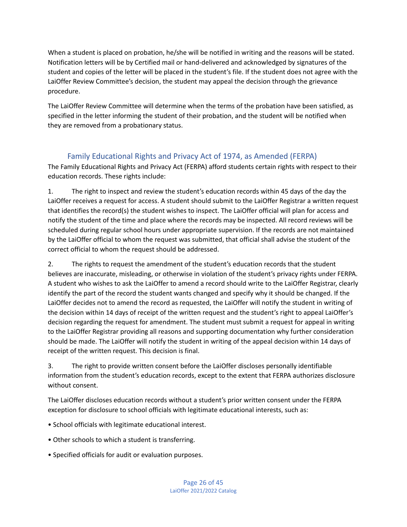When a student is placed on probation, he/she will be notified in writing and the reasons will be stated. Notification letters will be by Certified mail or hand-delivered and acknowledged by signatures of the student and copies of the letter will be placed in the student's file. If the student does not agree with the LaiOffer Review Committee's decision, the student may appeal the decision through the grievance procedure.

The LaiOffer Review Committee will determine when the terms of the probation have been satisfied, as specified in the letter informing the student of their probation, and the student will be notified when they are removed from a probationary status.

## Family Educational Rights and Privacy Act of 1974, as Amended (FERPA)

<span id="page-26-0"></span>The Family Educational Rights and Privacy Act (FERPA) afford students certain rights with respect to their education records. These rights include:

1. The right to inspect and review the student's education records within 45 days of the day the LaiOffer receives a request for access. A student should submit to the LaiOffer Registrar a written request that identifies the record(s) the student wishes to inspect. The LaiOffer official will plan for access and notify the student of the time and place where the records may be inspected. All record reviews will be scheduled during regular school hours under appropriate supervision. If the records are not maintained by the LaiOffer official to whom the request was submitted, that official shall advise the student of the correct official to whom the request should be addressed.

2. The rights to request the amendment of the student's education records that the student believes are inaccurate, misleading, or otherwise in violation of the student's privacy rights under FERPA. A student who wishes to ask the LaiOffer to amend a record should write to the LaiOffer Registrar, clearly identify the part of the record the student wants changed and specify why it should be changed. If the LaiOffer decides not to amend the record as requested, the LaiOffer will notify the student in writing of the decision within 14 days of receipt of the written request and the student's right to appeal LaiOffer's decision regarding the request for amendment. The student must submit a request for appeal in writing to the LaiOffer Registrar providing all reasons and supporting documentation why further consideration should be made. The LaiOffer will notify the student in writing of the appeal decision within 14 days of receipt of the written request. This decision is final.

3. The right to provide written consent before the LaiOffer discloses personally identifiable information from the student's education records, except to the extent that FERPA authorizes disclosure without consent.

The LaiOffer discloses education records without a student's prior written consent under the FERPA exception for disclosure to school officials with legitimate educational interests, such as:

- School officials with legitimate educational interest.
- Other schools to which a student is transferring.
- Specified officials for audit or evaluation purposes.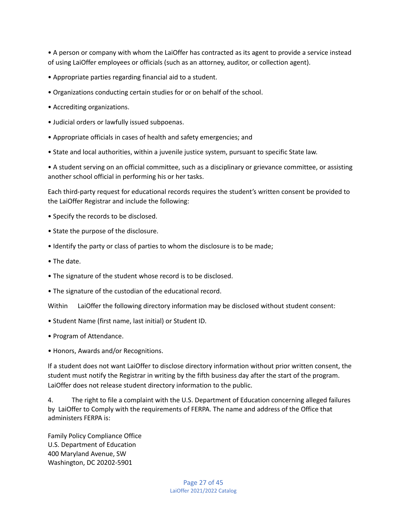• A person or company with whom the LaiOffer has contracted as its agent to provide a service instead of using LaiOffer employees or officials (such as an attorney, auditor, or collection agent).

- Appropriate parties regarding financial aid to a student.
- Organizations conducting certain studies for or on behalf of the school.
- Accrediting organizations.
- Judicial orders or lawfully issued subpoenas.
- Appropriate officials in cases of health and safety emergencies; and
- State and local authorities, within a juvenile justice system, pursuant to specific State law.

• A student serving on an official committee, such as a disciplinary or grievance committee, or assisting another school official in performing his or her tasks.

Each third-party request for educational records requires the student's written consent be provided to the LaiOffer Registrar and include the following:

- Specify the records to be disclosed.
- State the purpose of the disclosure.
- Identify the party or class of parties to whom the disclosure is to be made;
- The date.
- The signature of the student whose record is to be disclosed.
- The signature of the custodian of the educational record.

Within LaiOffer the following directory information may be disclosed without student consent:

- Student Name (first name, last initial) or Student ID.
- Program of Attendance.
- Honors, Awards and/or Recognitions.

If a student does not want LaiOffer to disclose directory information without prior written consent, the student must notify the Registrar in writing by the fifth business day after the start of the program. LaiOffer does not release student directory information to the public.

4. The right to file a complaint with the U.S. Department of Education concerning alleged failures by LaiOffer to Comply with the requirements of FERPA. The name and address of the Office that administers FERPA is:

Family Policy Compliance Office U.S. Department of Education 400 Maryland Avenue, SW Washington, DC 20202-5901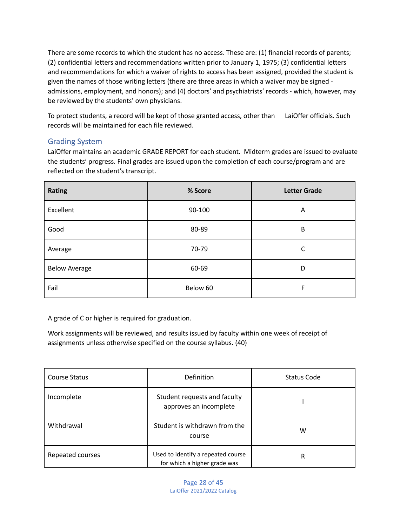There are some records to which the student has no access. These are: (1) financial records of parents; (2) confidential letters and recommendations written prior to January 1, 1975; (3) confidential letters and recommendations for which a waiver of rights to access has been assigned, provided the student is given the names of those writing letters (there are three areas in which a waiver may be signed admissions, employment, and honors); and (4) doctors' and psychiatrists' records - which, however, may be reviewed by the students' own physicians.

To protect students, a record will be kept of those granted access, other than LaiOffer officials. Such records will be maintained for each file reviewed.

## <span id="page-28-0"></span>Grading System

LaiOffer maintains an academic GRADE REPORT for each student. Midterm grades are issued to evaluate the students' progress. Final grades are issued upon the completion of each course/program and are reflected on the student's transcript.

| <b>Rating</b>        | % Score  | <b>Letter Grade</b> |
|----------------------|----------|---------------------|
| Excellent            | 90-100   | Α                   |
| Good                 | 80-89    | В                   |
| Average              | 70-79    | С                   |
| <b>Below Average</b> | 60-69    | D                   |
| Fail                 | Below 60 | F                   |

A grade of C or higher is required for graduation.

Work assignments will be reviewed, and results issued by faculty within one week of receipt of assignments unless otherwise specified on the course syllabus. (40)

| <b>Course Status</b> | Definition                                                         | Status Code |
|----------------------|--------------------------------------------------------------------|-------------|
| Incomplete           | Student requests and faculty<br>approves an incomplete             |             |
| Withdrawal           | Student is withdrawn from the<br>course                            | w           |
| Repeated courses     | Used to identify a repeated course<br>for which a higher grade was | R           |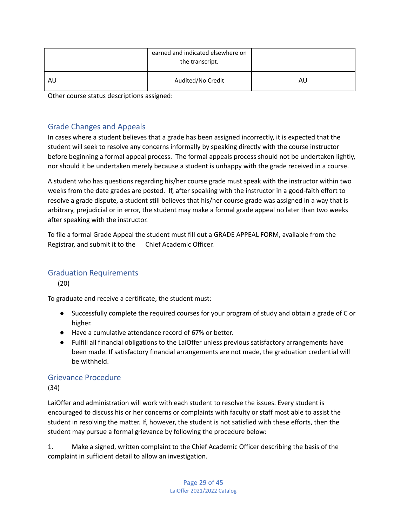|    | earned and indicated elsewhere on<br>the transcript. |    |
|----|------------------------------------------------------|----|
| AU | Audited/No Credit                                    | AU |

Other course status descriptions assigned:

## <span id="page-29-0"></span>Grade Changes and Appeals

In cases where a student believes that a grade has been assigned incorrectly, it is expected that the student will seek to resolve any concerns informally by speaking directly with the course instructor before beginning a formal appeal process. The formal appeals process should not be undertaken lightly, nor should it be undertaken merely because a student is unhappy with the grade received in a course.

A student who has questions regarding his/her course grade must speak with the instructor within two weeks from the date grades are posted. If, after speaking with the instructor in a good-faith effort to resolve a grade dispute, a student still believes that his/her course grade was assigned in a way that is arbitrary, prejudicial or in error, the student may make a formal grade appeal no later than two weeks after speaking with the instructor.

To file a formal Grade Appeal the student must fill out a GRADE APPEAL FORM, available from the Registrar, and submit it to the Chief Academic Officer.

## <span id="page-29-1"></span>Graduation Requirements

(20)

To graduate and receive a certificate, the student must:

- Successfully complete the required courses for your program of study and obtain a grade of C or higher.
- Have a cumulative attendance record of 67% or better.
- Fulfill all financial obligations to the LaiOffer unless previous satisfactory arrangements have been made. If satisfactory financial arrangements are not made, the graduation credential will be withheld.

## <span id="page-29-2"></span>Grievance Procedure

(34)

LaiOffer and administration will work with each student to resolve the issues. Every student is encouraged to discuss his or her concerns or complaints with faculty or staff most able to assist the student in resolving the matter. If, however, the student is not satisfied with these efforts, then the student may pursue a formal grievance by following the procedure below:

1. Make a signed, written complaint to the Chief Academic Officer describing the basis of the complaint in sufficient detail to allow an investigation.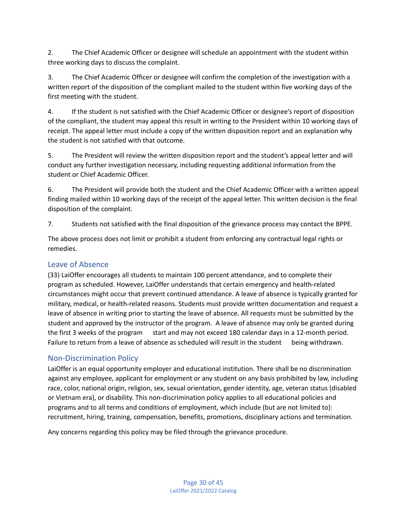2. The Chief Academic Officer or designee will schedule an appointment with the student within three working days to discuss the complaint.

3. The Chief Academic Officer or designee will confirm the completion of the investigation with a written report of the disposition of the compliant mailed to the student within five working days of the first meeting with the student.

4. If the student is not satisfied with the Chief Academic Officer or designee's report of disposition of the compliant, the student may appeal this result in writing to the President within 10 working days of receipt. The appeal letter must include a copy of the written disposition report and an explanation why the student is not satisfied with that outcome.

5. The President will review the written disposition report and the student's appeal letter and will conduct any further investigation necessary, including requesting additional information from the student or Chief Academic Officer.

6. The President will provide both the student and the Chief Academic Officer with a written appeal finding mailed within 10 working days of the receipt of the appeal letter. This written decision is the final disposition of the complaint.

7. Students not satisfied with the final disposition of the grievance process may contact the BPPE.

The above process does not limit or prohibit a student from enforcing any contractual legal rights or remedies.

## <span id="page-30-0"></span>Leave of Absence

(33) LaiOffer encourages all students to maintain 100 percent attendance, and to complete their program as scheduled. However, LaiOffer understands that certain emergency and health-related circumstances might occur that prevent continued attendance. A leave of absence is typically granted for military, medical, or health-related reasons. Students must provide written documentation and request a leave of absence in writing prior to starting the leave of absence. All requests must be submitted by the student and approved by the instructor of the program. A leave of absence may only be granted during the first 3 weeks of the program start and may not exceed 180 calendar days in a 12-month period. Failure to return from a leave of absence as scheduled will result in the student being withdrawn.

## <span id="page-30-1"></span>Non-Discrimination Policy

LaiOffer is an equal opportunity employer and educational institution. There shall be no discrimination against any employee, applicant for employment or any student on any basis prohibited by law, including race, color, national origin, religion, sex, sexual orientation, gender identity, age, veteran status (disabled or Vietnam era), or disability. This non-discrimination policy applies to all educational policies and programs and to all terms and conditions of employment, which include (but are not limited to): recruitment, hiring, training, compensation, benefits, promotions, disciplinary actions and termination.

Any concerns regarding this policy may be filed through the grievance procedure.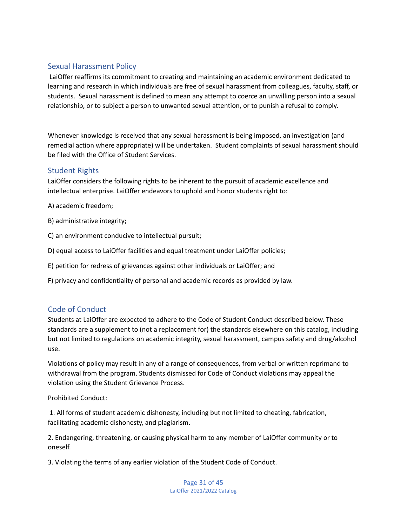## <span id="page-31-0"></span>Sexual Harassment Policy

LaiOffer reaffirms its commitment to creating and maintaining an academic environment dedicated to learning and research in which individuals are free of sexual harassment from colleagues, faculty, staff, or students. Sexual harassment is defined to mean any attempt to coerce an unwilling person into a sexual relationship, or to subject a person to unwanted sexual attention, or to punish a refusal to comply.

Whenever knowledge is received that any sexual harassment is being imposed, an investigation (and remedial action where appropriate) will be undertaken. Student complaints of sexual harassment should be filed with the Office of Student Services.

## <span id="page-31-1"></span>Student Rights

LaiOffer considers the following rights to be inherent to the pursuit of academic excellence and intellectual enterprise. LaiOffer endeavors to uphold and honor students right to:

A) academic freedom;

- B) administrative integrity;
- C) an environment conducive to intellectual pursuit;
- D) equal access to LaiOffer facilities and equal treatment under LaiOffer policies;
- E) petition for redress of grievances against other individuals or LaiOffer; and
- F) privacy and confidentiality of personal and academic records as provided by law.

## <span id="page-31-2"></span>Code of Conduct

Students at LaiOffer are expected to adhere to the Code of Student Conduct described below. These standards are a supplement to (not a replacement for) the standards elsewhere on this catalog, including but not limited to regulations on academic integrity, sexual harassment, campus safety and drug/alcohol use.

Violations of policy may result in any of a range of consequences, from verbal or written reprimand to withdrawal from the program. Students dismissed for Code of Conduct violations may appeal the violation using the Student Grievance Process.

Prohibited Conduct:

1. All forms of student academic dishonesty, including but not limited to cheating, fabrication, facilitating academic dishonesty, and plagiarism.

2. Endangering, threatening, or causing physical harm to any member of LaiOffer community or to oneself.

3. Violating the terms of any earlier violation of the Student Code of Conduct.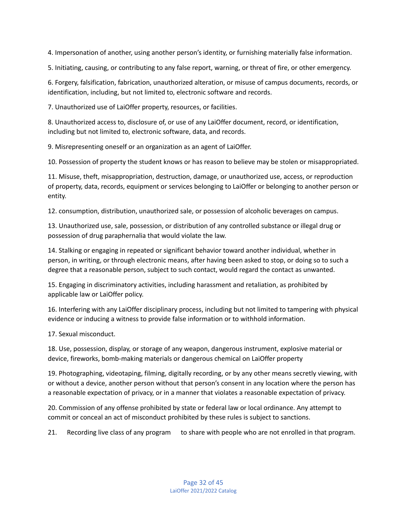4. Impersonation of another, using another person's identity, or furnishing materially false information.

5. Initiating, causing, or contributing to any false report, warning, or threat of fire, or other emergency.

6. Forgery, falsification, fabrication, unauthorized alteration, or misuse of campus documents, records, or identification, including, but not limited to, electronic software and records.

7. Unauthorized use of LaiOffer property, resources, or facilities.

8. Unauthorized access to, disclosure of, or use of any LaiOffer document, record, or identification, including but not limited to, electronic software, data, and records.

9. Misrepresenting oneself or an organization as an agent of LaiOffer.

10. Possession of property the student knows or has reason to believe may be stolen or misappropriated.

11. Misuse, theft, misappropriation, destruction, damage, or unauthorized use, access, or reproduction of property, data, records, equipment or services belonging to LaiOffer or belonging to another person or entity.

12. consumption, distribution, unauthorized sale, or possession of alcoholic beverages on campus.

13. Unauthorized use, sale, possession, or distribution of any controlled substance or illegal drug or possession of drug paraphernalia that would violate the law.

14. Stalking or engaging in repeated or significant behavior toward another individual, whether in person, in writing, or through electronic means, after having been asked to stop, or doing so to such a degree that a reasonable person, subject to such contact, would regard the contact as unwanted.

15. Engaging in discriminatory activities, including harassment and retaliation, as prohibited by applicable law or LaiOffer policy.

16. Interfering with any LaiOffer disciplinary process, including but not limited to tampering with physical evidence or inducing a witness to provide false information or to withhold information.

17. Sexual misconduct.

18. Use, possession, display, or storage of any weapon, dangerous instrument, explosive material or device, fireworks, bomb-making materials or dangerous chemical on LaiOffer property

19. Photographing, videotaping, filming, digitally recording, or by any other means secretly viewing, with or without a device, another person without that person's consent in any location where the person has a reasonable expectation of privacy, or in a manner that violates a reasonable expectation of privacy.

20. Commission of any offense prohibited by state or federal law or local ordinance. Any attempt to commit or conceal an act of misconduct prohibited by these rules is subject to sanctions.

21. Recording live class of any program to share with people who are not enrolled in that program.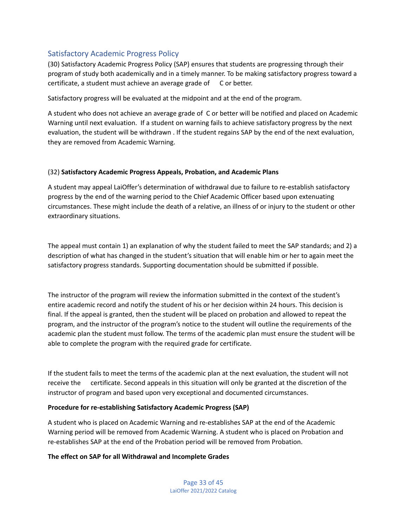## <span id="page-33-0"></span>Satisfactory Academic Progress Policy

(30) Satisfactory Academic Progress Policy (SAP) ensures that students are progressing through their program of study both academically and in a timely manner. To be making satisfactory progress toward a certificate, a student must achieve an average grade of C or better.

Satisfactory progress will be evaluated at the midpoint and at the end of the program.

A student who does not achieve an average grade of C or better will be notified and placed on Academic Warning until next evaluation. If a student on warning fails to achieve satisfactory progress by the next evaluation, the student will be withdrawn . If the student regains SAP by the end of the next evaluation, they are removed from Academic Warning.

#### (32) **Satisfactory Academic Progress Appeals, Probation, and Academic Plans**

A student may appeal LaiOffer's determination of withdrawal due to failure to re-establish satisfactory progress by the end of the warning period to the Chief Academic Officer based upon extenuating circumstances. These might include the death of a relative, an illness of or injury to the student or other extraordinary situations.

The appeal must contain 1) an explanation of why the student failed to meet the SAP standards; and 2) a description of what has changed in the student's situation that will enable him or her to again meet the satisfactory progress standards. Supporting documentation should be submitted if possible.

The instructor of the program will review the information submitted in the context of the student's entire academic record and notify the student of his or her decision within 24 hours. This decision is final. If the appeal is granted, then the student will be placed on probation and allowed to repeat the program, and the instructor of the program's notice to the student will outline the requirements of the academic plan the student must follow. The terms of the academic plan must ensure the student will be able to complete the program with the required grade for certificate.

If the student fails to meet the terms of the academic plan at the next evaluation, the student will not receive the certificate. Second appeals in this situation will only be granted at the discretion of the instructor of program and based upon very exceptional and documented circumstances.

#### **Procedure for re-establishing Satisfactory Academic Progress (SAP)**

A student who is placed on Academic Warning and re-establishes SAP at the end of the Academic Warning period will be removed from Academic Warning. A student who is placed on Probation and re-establishes SAP at the end of the Probation period will be removed from Probation.

#### **The effect on SAP for all Withdrawal and Incomplete Grades**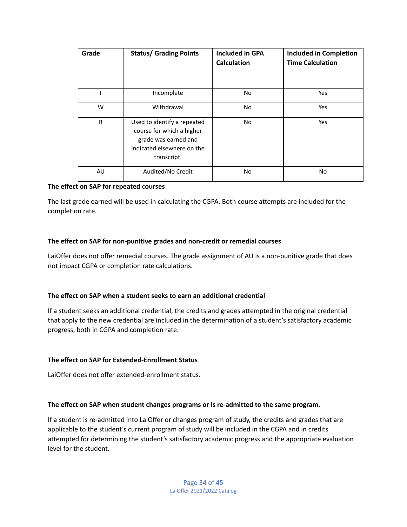| Grade        | <b>Status/ Grading Points</b>                                                                                                 | <b>Included in GPA</b><br><b>Calculation</b> | <b>Included in Completion</b><br><b>Time Calculation</b> |
|--------------|-------------------------------------------------------------------------------------------------------------------------------|----------------------------------------------|----------------------------------------------------------|
|              | Incomplete                                                                                                                    | No.                                          | Yes                                                      |
| W            | Withdrawal                                                                                                                    | No.                                          | Yes                                                      |
| $\mathsf{R}$ | Used to identify a repeated<br>course for which a higher<br>grade was earned and<br>indicated elsewhere on the<br>transcript. | No.                                          | Yes                                                      |
| AU           | Audited/No Credit                                                                                                             | No.                                          | No.                                                      |

#### **The effect on SAP for repeated courses**

The last grade earned will be used in calculating the CGPA. Both course attempts are included for the completion rate.

#### **The effect on SAP for non-punitive grades and non-credit or remedial courses**

LaiOffer does not offer remedial courses. The grade assignment of AU is a non-punitive grade that does not impact CGPA or completion rate calculations.

#### **The effect on SAP when a student seeks to earn an additional credential**

If a student seeks an additional credential, the credits and grades attempted in the original credential that apply to the new credential are included in the determination of a student's satisfactory academic progress, both in CGPA and completion rate.

#### **The effect on SAP for Extended-Enrollment Status**

LaiOffer does not offer extended-enrollment status.

#### **The effect on SAP when student changes programs or is re-admitted to the same program.**

If a student is re-admitted into LaiOffer or changes program of study, the credits and grades that are applicable to the student's current program of study will be included in the CGPA and in credits attempted for determining the student's satisfactory academic progress and the appropriate evaluation level for the student.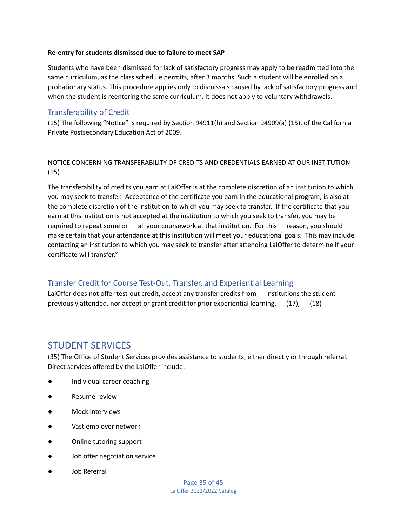#### **Re-entry for students dismissed due to failure to meet SAP**

Students who have been dismissed for lack of satisfactory progress may apply to be readmitted into the same curriculum, as the class schedule permits, after 3 months. Such a student will be enrolled on a probationary status. This procedure applies only to dismissals caused by lack of satisfactory progress and when the student is reentering the same curriculum. It does not apply to voluntary withdrawals.

## <span id="page-35-0"></span>Transferability of Credit

(15) The following "Notice" is required by Section 94911(h) and Section 94909(a) (15), of the California Private Postsecondary Education Act of 2009.

## NOTICE CONCERNING TRANSFERABILITY OF CREDITS AND CREDENTIALS EARNED AT OUR INSTITUTION (15)

The transferability of credits you earn at LaiOffer is at the complete discretion of an institution to which you may seek to transfer. Acceptance of the certificate you earn in the educational program, is also at the complete discretion of the institution to which you may seek to transfer. If the certificate that you earn at this institution is not accepted at the institution to which you seek to transfer, you may be required to repeat some or all your coursework at that institution. For this reason, you should make certain that your attendance at this institution will meet your educational goals. This may include contacting an institution to which you may seek to transfer after attending LaiOffer to determine if your certificate will transfer."

## <span id="page-35-1"></span>Transfer Credit for Course Test-Out, Transfer, and Experiential Learning

LaiOffer does not offer test-out credit, accept any transfer credits from institutions the student previously attended, nor accept or grant credit for prior experiential learning. (17), (18)

# <span id="page-35-2"></span>STUDENT SERVICES

(35) The Office of Student Services provides assistance to students, either directly or through referral. Direct services offered by the LaiOffer include:

- Individual career coaching
- Resume review
- Mock interviews
- Vast employer network
- Online tutoring support
- Job offer negotiation service
- **Job Referral**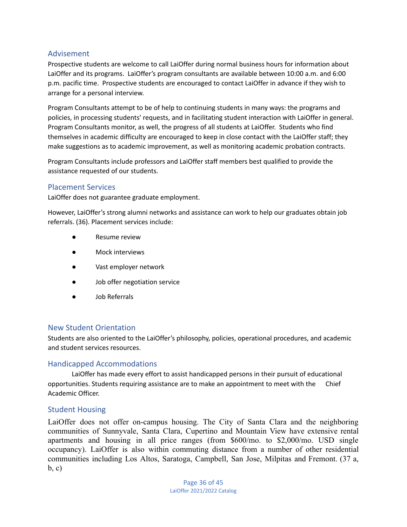## <span id="page-36-0"></span>Advisement

Prospective students are welcome to call LaiOffer during normal business hours for information about LaiOffer and its programs. LaiOffer's program consultants are available between 10:00 a.m. and 6:00 p.m. pacific time. Prospective students are encouraged to contact LaiOffer in advance if they wish to arrange for a personal interview.

Program Consultants attempt to be of help to continuing students in many ways: the programs and policies, in processing students' requests, and in facilitating student interaction with LaiOffer in general. Program Consultants monitor, as well, the progress of all students at LaiOffer. Students who find themselves in academic difficulty are encouraged to keep in close contact with the LaiOffer staff; they make suggestions as to academic improvement, as well as monitoring academic probation contracts.

Program Consultants include professors and LaiOffer staff members best qualified to provide the assistance requested of our students.

## <span id="page-36-1"></span>Placement Services

LaiOffer does not guarantee graduate employment.

However, LaiOffer's strong alumni networks and assistance can work to help our graduates obtain job referrals. (36). Placement services include:

- Resume review
- Mock interviews
- Vast employer network
- Job offer negotiation service
- Job Referrals

## <span id="page-36-2"></span>New Student Orientation

Students are also oriented to the LaiOffer's philosophy, policies, operational procedures, and academic and student services resources.

## <span id="page-36-3"></span>Handicapped Accommodations

LaiOffer has made every effort to assist handicapped persons in their pursuit of educational opportunities. Students requiring assistance are to make an appointment to meet with the Chief Academic Officer.

## <span id="page-36-4"></span>Student Housing

LaiOffer does not offer on-campus housing. The City of Santa Clara and the neighboring communities of Sunnyvale, Santa Clara, Cupertino and Mountain View have extensive rental apartments and housing in all price ranges (from \$600/mo. to \$2,000/mo. USD single occupancy). LaiOffer is also within commuting distance from a number of other residential communities including Los Altos, Saratoga, Campbell, San Jose, Milpitas and Fremont. (37 a, b, c)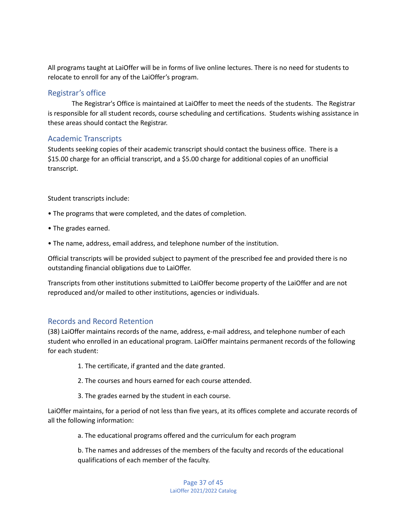All programs taught at LaiOffer will be in forms of live online lectures. There is no need for students to relocate to enroll for any of the LaiOffer's program.

## <span id="page-37-0"></span>Registrar's office

The Registrar's Office is maintained at LaiOffer to meet the needs of the students. The Registrar is responsible for all student records, course scheduling and certifications. Students wishing assistance in these areas should contact the Registrar.

## <span id="page-37-1"></span>Academic Transcripts

Students seeking copies of their academic transcript should contact the business office. There is a \$15.00 charge for an official transcript, and a \$5.00 charge for additional copies of an unofficial transcript.

Student transcripts include:

- The programs that were completed, and the dates of completion.
- The grades earned.
- The name, address, email address, and telephone number of the institution.

Official transcripts will be provided subject to payment of the prescribed fee and provided there is no outstanding financial obligations due to LaiOffer.

Transcripts from other institutions submitted to LaiOffer become property of the LaiOffer and are not reproduced and/or mailed to other institutions, agencies or individuals.

## <span id="page-37-2"></span>Records and Record Retention

(38) LaiOffer maintains records of the name, address, e-mail address, and telephone number of each student who enrolled in an educational program. LaiOffer maintains permanent records of the following for each student:

- 1. The certificate, if granted and the date granted.
- 2. The courses and hours earned for each course attended.
- 3. The grades earned by the student in each course.

LaiOffer maintains, for a period of not less than five years, at its offices complete and accurate records of all the following information:

a. The educational programs offered and the curriculum for each program

b. The names and addresses of the members of the faculty and records of the educational qualifications of each member of the faculty.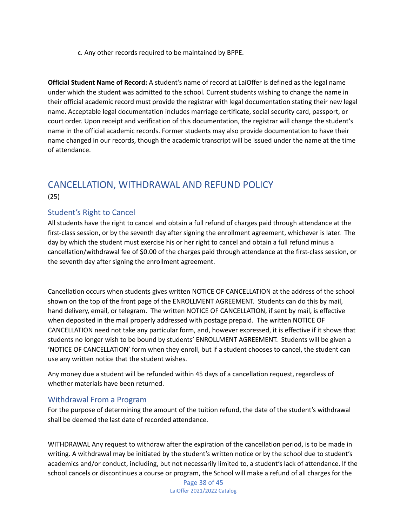c. Any other records required to be maintained by BPPE.

**Official Student Name of Record:** A student's name of record at LaiOffer is defined as the legal name under which the student was admitted to the school. Current students wishing to change the name in their official academic record must provide the registrar with legal documentation stating their new legal name. Acceptable legal documentation includes marriage certificate, social security card, passport, or court order. Upon receipt and verification of this documentation, the registrar will change the student's name in the official academic records. Former students may also provide documentation to have their name changed in our records, though the academic transcript will be issued under the name at the time of attendance.

## <span id="page-38-0"></span>CANCELLATION, WITHDRAWAL AND REFUND POLICY (25)

## <span id="page-38-1"></span>Student's Right to Cancel

All students have the right to cancel and obtain a full refund of charges paid through attendance at the first-class session, or by the seventh day after signing the enrollment agreement, whichever is later. The day by which the student must exercise his or her right to cancel and obtain a full refund minus a cancellation/withdrawal fee of \$0.00 of the charges paid through attendance at the first-class session, or the seventh day after signing the enrollment agreement.

Cancellation occurs when students gives written NOTICE OF CANCELLATION at the address of the school shown on the top of the front page of the ENROLLMENT AGREEMENT. Students can do this by mail, hand delivery, email, or telegram. The written NOTICE OF CANCELLATION, if sent by mail, is effective when deposited in the mail properly addressed with postage prepaid. The written NOTICE OF CANCELLATION need not take any particular form, and, however expressed, it is effective if it shows that students no longer wish to be bound by students' ENROLLMENT AGREEMENT. Students will be given a 'NOTICE OF CANCELLATION' form when they enroll, but if a student chooses to cancel, the student can use any written notice that the student wishes.

Any money due a student will be refunded within 45 days of a cancellation request, regardless of whether materials have been returned.

## <span id="page-38-2"></span>Withdrawal From a Program

For the purpose of determining the amount of the tuition refund, the date of the student's withdrawal shall be deemed the last date of recorded attendance.

WITHDRAWAL Any request to withdraw after the expiration of the cancellation period, is to be made in writing. A withdrawal may be initiated by the student's written notice or by the school due to student's academics and/or conduct, including, but not necessarily limited to, a student's lack of attendance. If the school cancels or discontinues a course or program, the School will make a refund of all charges for the

> Page 38 of 45 LaiOffer 2021/2022 Catalog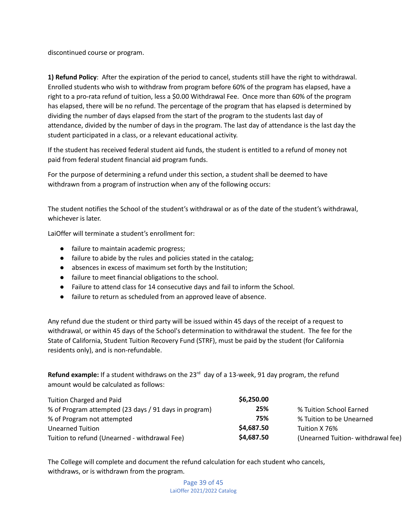discontinued course or program.

**1) Refund Policy**: After the expiration of the period to cancel, students still have the right to withdrawal. Enrolled students who wish to withdraw from program before 60% of the program has elapsed, have a right to a pro-rata refund of tuition, less a \$0.00 Withdrawal Fee. Once more than 60% of the program has elapsed, there will be no refund. The percentage of the program that has elapsed is determined by dividing the number of days elapsed from the start of the program to the students last day of attendance, divided by the number of days in the program. The last day of attendance is the last day the student participated in a class, or a relevant educational activity.

If the student has received federal student aid funds, the student is entitled to a refund of money not paid from federal student financial aid program funds.

For the purpose of determining a refund under this section, a student shall be deemed to have withdrawn from a program of instruction when any of the following occurs:

The student notifies the School of the student's withdrawal or as of the date of the student's withdrawal, whichever is later.

LaiOffer will terminate a student's enrollment for:

- failure to maintain academic progress;
- failure to abide by the rules and policies stated in the catalog;
- absences in excess of maximum set forth by the Institution;
- failure to meet financial obligations to the school.
- Failure to attend class for 14 consecutive days and fail to inform the School.
- failure to return as scheduled from an approved leave of absence.

Any refund due the student or third party will be issued within 45 days of the receipt of a request to withdrawal, or within 45 days of the School's determination to withdrawal the student. The fee for the State of California, Student Tuition Recovery Fund (STRF), must be paid by the student (for California residents only), and is non-refundable.

Refund example: If a student withdraws on the 23<sup>rd</sup> day of a 13-week, 91 day program, the refund amount would be calculated as follows:

| Tuition Charged and Paid                              | \$6,250.00 |                                    |
|-------------------------------------------------------|------------|------------------------------------|
| % of Program attempted (23 days / 91 days in program) | 25%        | % Tuition School Earned            |
| % of Program not attempted                            | 75%        | % Tuition to be Unearned           |
| <b>Unearned Tuition</b>                               | \$4,687.50 | Tuition X 76%                      |
| Tuition to refund (Unearned - withdrawal Fee)         | \$4,687.50 | (Unearned Tuition- withdrawal fee) |

The College will complete and document the refund calculation for each student who cancels, withdraws, or is withdrawn from the program.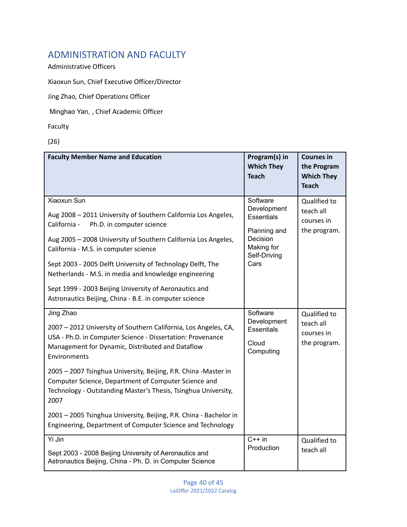# <span id="page-40-0"></span>ADMINISTRATION AND FACULTY

Administrative Officers

Xiaoxun Sun, Chief Executive Officer/Director

Jing Zhao, Chief Operations Officer

Minghao Yan, , Chief Academic Officer

Faculty

(26)

| <b>Faculty Member Name and Education</b>                                                                                                                                                                                                                                                                                                                                                                                                                                                                                                                | Program(s) in<br><b>Which They</b><br><b>Teach</b>                                                             | <b>Courses in</b><br>the Program<br><b>Which They</b><br><b>Teach</b> |
|---------------------------------------------------------------------------------------------------------------------------------------------------------------------------------------------------------------------------------------------------------------------------------------------------------------------------------------------------------------------------------------------------------------------------------------------------------------------------------------------------------------------------------------------------------|----------------------------------------------------------------------------------------------------------------|-----------------------------------------------------------------------|
| Xiaoxun Sun<br>Aug 2008 - 2011 University of Southern California Los Angeles,<br>Ph.D. in computer science<br>California -<br>Aug 2005 - 2008 University of Southern California Los Angeles,<br>California - M.S. in computer science<br>Sept 2003 - 2005 Delft University of Technology Delft, The<br>Netherlands - M.S. in media and knowledge engineering<br>Sept 1999 - 2003 Beijing University of Aeronautics and<br>Astronautics Beijing, China - B.E. in computer science                                                                        | Software<br>Development<br><b>Essentials</b><br>Planning and<br>Decision<br>Making for<br>Self-Driving<br>Cars | Qualified to<br>teach all<br>courses in<br>the program.               |
| Jing Zhao<br>2007 - 2012 University of Southern California, Los Angeles, CA,<br>USA - Ph.D. in Computer Science - Dissertation: Provenance<br>Management for Dynamic, Distributed and Dataflow<br>Environments<br>2005 - 2007 Tsinghua University, Beijing, P.R. China -Master in<br>Computer Science, Department of Computer Science and<br>Technology - Outstanding Master's Thesis, Tsinghua University,<br>2007<br>2001 - 2005 Tsinghua University, Beijing, P.R. China - Bachelor in<br>Engineering, Department of Computer Science and Technology | Software<br>Development<br><b>Essentials</b><br>Cloud<br>Computing                                             | Qualified to<br>teach all<br>courses in<br>the program.               |
| Yi Jin<br>Sept 2003 - 2008 Beijing University of Aeronautics and<br>Astronautics Beijing, China - Ph. D. in Computer Science                                                                                                                                                                                                                                                                                                                                                                                                                            | $C++$ in<br>Production                                                                                         | Qualified to<br>teach all                                             |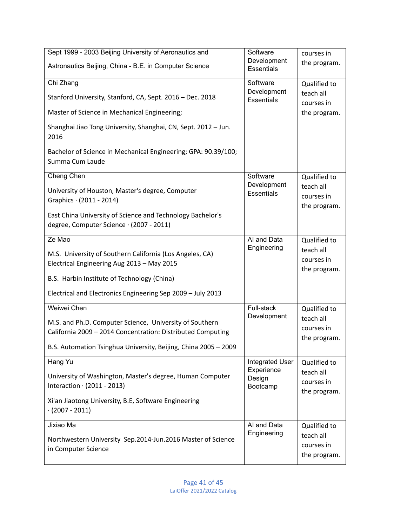| Sept 1999 - 2003 Beijing University of Aeronautics and                                                                 | Software                         | courses in                              |
|------------------------------------------------------------------------------------------------------------------------|----------------------------------|-----------------------------------------|
| Astronautics Beijing, China - B.E. in Computer Science                                                                 | Development<br><b>Essentials</b> | the program.                            |
| Chi Zhang                                                                                                              | Software                         | Qualified to                            |
| Stanford University, Stanford, CA, Sept. 2016 - Dec. 2018                                                              | Development<br><b>Essentials</b> | teach all<br>courses in                 |
| Master of Science in Mechanical Engineering;                                                                           |                                  | the program.                            |
| Shanghai Jiao Tong University, Shanghai, CN, Sept. 2012 - Jun.<br>2016                                                 |                                  |                                         |
| Bachelor of Science in Mechanical Engineering; GPA: 90.39/100;<br>Summa Cum Laude                                      |                                  |                                         |
| Cheng Chen                                                                                                             | Software                         | Qualified to                            |
| University of Houston, Master's degree, Computer<br>Graphics $\cdot$ (2011 - 2014)                                     | Development<br><b>Essentials</b> | teach all<br>courses in<br>the program. |
| East China University of Science and Technology Bachelor's<br>degree, Computer Science · (2007 - 2011)                 |                                  |                                         |
| Ze Mao                                                                                                                 | Al and Data                      | Qualified to                            |
| M.S. University of Southern California (Los Angeles, CA)<br>Electrical Engineering Aug 2013 - May 2015                 | Engineering                      | teach all<br>courses in<br>the program. |
| B.S. Harbin Institute of Technology (China)                                                                            |                                  |                                         |
| Electrical and Electronics Engineering Sep 2009 - July 2013                                                            |                                  |                                         |
| Weiwei Chen                                                                                                            | Full-stack                       | Qualified to                            |
| M.S. and Ph.D. Computer Science, University of Southern<br>California 2009 - 2014 Concentration: Distributed Computing | Development                      | teach all<br>courses in<br>the program. |
| B.S. Automation Tsinghua University, Beijing, China 2005 - 2009                                                        |                                  |                                         |
| Hang Yu                                                                                                                | Integrated User                  | Qualified to                            |
| University of Washington, Master's degree, Human Computer<br>Interaction $\cdot$ (2011 - 2013)                         | Experience<br>Design<br>Bootcamp | teach all<br>courses in<br>the program. |
| Xi'an Jiaotong University, B.E, Software Engineering<br>$(2007 - 2011)$                                                |                                  |                                         |
| Jixiao Ma                                                                                                              | Al and Data                      | Qualified to                            |
| Northwestern University Sep.2014-Jun.2016 Master of Science                                                            | Engineering                      | teach all<br>courses in                 |
| in Computer Science                                                                                                    |                                  | the program.                            |

H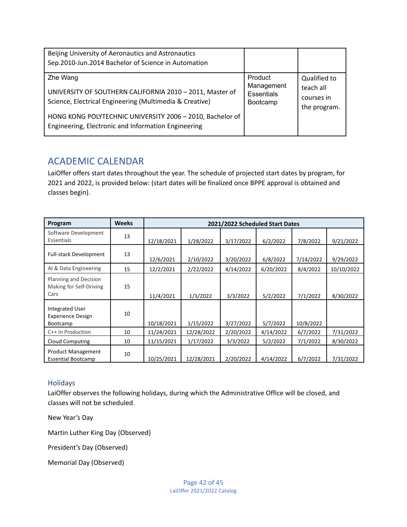| Beijing University of Aeronautics and Astronautics<br>Sep.2010-Jun.2014 Bachelor of Science in Automation                                                                                                                                           |                                                        |                                                         |
|-----------------------------------------------------------------------------------------------------------------------------------------------------------------------------------------------------------------------------------------------------|--------------------------------------------------------|---------------------------------------------------------|
| Zhe Wang<br>UNIVERSITY OF SOUTHERN CALIFORNIA 2010 - 2011, Master of<br>Science, Electrical Engineering (Multimedia & Creative)<br>HONG KONG POLYTECHNIC UNIVERSITY 2006 - 2010, Bachelor of<br>Engineering, Electronic and Information Engineering | Product<br>Management<br><b>Essentials</b><br>Bootcamp | Qualified to<br>teach all<br>courses in<br>the program. |

# <span id="page-42-0"></span>ACADEMIC CALENDAR

LaiOffer offers start dates throughout the year. The schedule of projected start dates by program, for 2021 and 2022, is provided below: (start dates will be finalized once BPPE approval is obtained and classes begin).

| Program                                                               | <b>Weeks</b> | 2021/2022 Scheduled Start Dates |            |           |           |           |            |
|-----------------------------------------------------------------------|--------------|---------------------------------|------------|-----------|-----------|-----------|------------|
| Software Development<br>Essentials                                    | 13           | 12/18/2021                      | 1/28/2022  | 3/17/2022 | 6/2/2022  | 7/8/2022  | 9/21/2022  |
| <b>Full-stack Development</b>                                         | 13           | 12/6/2021                       | 2/10/2022  | 3/20/2022 | 6/8/2022  | 7/14/2022 | 9/29/2022  |
| Al & Data Engineering                                                 | 15           | 12/2/2021                       | 2/22/2022  | 4/14/2022 | 6/20/2022 | 8/4/2022  | 10/10/2022 |
| Planning and Decision<br>Making for Self-Driving<br>Cars              | 15           | 11/4/2021                       | 1/3/2022   | 3/3/2022  | 5/2/2022  | 7/1/2022  | 8/30/2022  |
| <b>Integrated User</b><br><b>Experience Design</b><br><b>Bootcamp</b> | 10           | 10/18/2021                      | 1/15/2022  | 3/27/2022 | 5/7/2022  | 10/8/2022 |            |
| C++ in Production                                                     | 10           | 11/24/2021                      | 12/28/2022 | 2/20/2022 | 4/14/2022 | 6/7/2022  | 7/31/2022  |
| Cloud Computing                                                       | 10           | 11/15/2021                      | 1/17/2022  | 3/3/2022  | 5/2/2022  | 7/1/2022  | 8/30/2022  |
| Product Management<br><b>Essential Bootcamp</b>                       | 10           | 10/25/2021                      | 12/28/2021 | 2/20/2022 | 4/14/2022 | 6/7/2022  | 7/31/2022  |

## <span id="page-42-1"></span>Holidays

LaiOffer observes the following holidays, during which the Administrative Office will be closed, and classes will not be scheduled.

New Year's Day

Martin Luther King Day (Observed)

President's Day (Observed)

Memorial Day (Observed)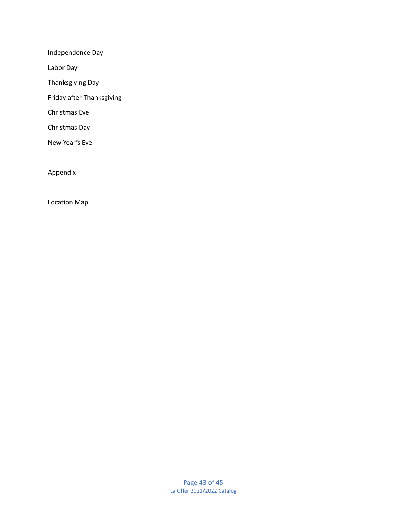Independence Day

Labor Day

Thanksgiving Day

Friday after Thanksgiving

Christmas Eve

Christmas Day

New Year's Eve

Appendix

Location Map